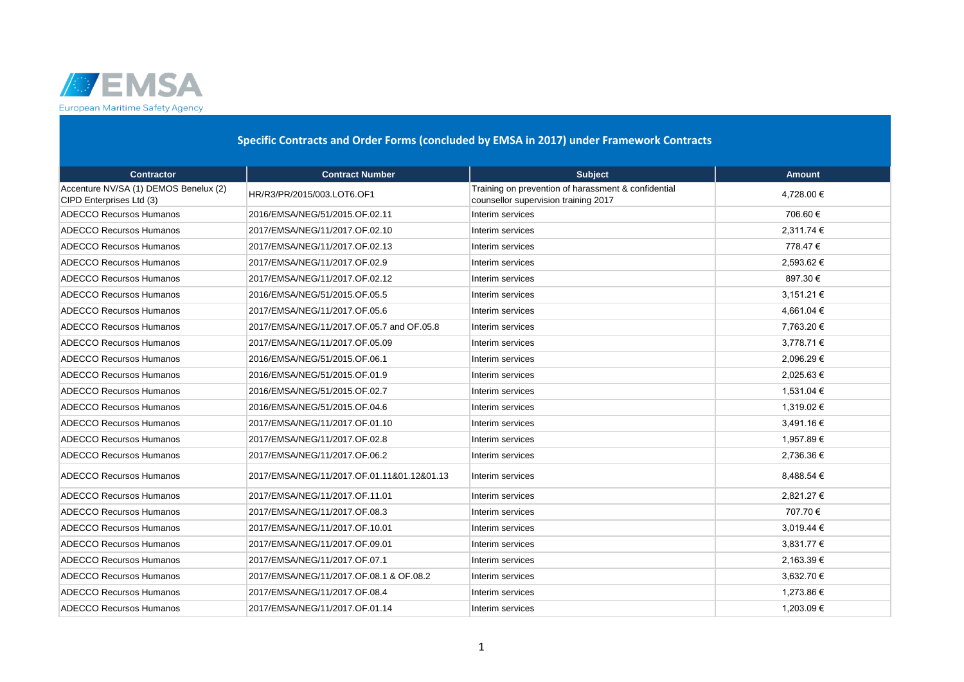

| <b>Contractor</b>                                                 | <b>Contract Number</b>                     | <b>Subject</b>                                                                              | <b>Amount</b> |
|-------------------------------------------------------------------|--------------------------------------------|---------------------------------------------------------------------------------------------|---------------|
| Accenture NV/SA (1) DEMOS Benelux (2)<br>CIPD Enterprises Ltd (3) | HR/R3/PR/2015/003.LOT6.OF1                 | Training on prevention of harassment & confidential<br>counsellor supervision training 2017 | 4,728.00 €    |
| <b>ADECCO Recursos Humanos</b>                                    | 2016/EMSA/NEG/51/2015.OF.02.11             | Interim services                                                                            | 706.60 €      |
| <b>ADECCO Recursos Humanos</b>                                    | 2017/EMSA/NEG/11/2017.OF.02.10             | Interim services                                                                            | 2,311.74 €    |
| <b>ADECCO Recursos Humanos</b>                                    | 2017/EMSA/NEG/11/2017.OF.02.13             | Interim services                                                                            | 778.47 €      |
| <b>ADECCO Recursos Humanos</b>                                    | 2017/EMSA/NEG/11/2017.OF.02.9              | Interim services                                                                            | 2.593.62 €    |
| <b>ADECCO Recursos Humanos</b>                                    | 2017/EMSA/NEG/11/2017.OF.02.12             | Interim services                                                                            | 897.30 €      |
| <b>ADECCO Recursos Humanos</b>                                    | 2016/EMSA/NEG/51/2015.OF.05.5              | Interim services                                                                            | 3,151.21€     |
| <b>ADECCO Recursos Humanos</b>                                    | 2017/EMSA/NEG/11/2017.OF.05.6              | Interim services                                                                            | 4,661.04 €    |
| <b>ADECCO Recursos Humanos</b>                                    | 2017/EMSA/NEG/11/2017.OF.05.7 and OF.05.8  | Interim services                                                                            | 7,763.20 €    |
| <b>ADECCO Recursos Humanos</b>                                    | 2017/EMSA/NEG/11/2017.OF.05.09             | Interim services                                                                            | 3,778.71 €    |
| <b>ADECCO Recursos Humanos</b>                                    | 2016/EMSA/NEG/51/2015.OF.06.1              | Interim services                                                                            | 2.096.29€     |
| <b>ADECCO Recursos Humanos</b>                                    | 2016/EMSA/NEG/51/2015.OF.01.9              | Interim services                                                                            | 2.025.63€     |
| <b>ADECCO Recursos Humanos</b>                                    | 2016/EMSA/NEG/51/2015.OF.02.7              | Interim services                                                                            | 1,531.04 €    |
| <b>ADECCO Recursos Humanos</b>                                    | 2016/EMSA/NEG/51/2015.OF.04.6              | Interim services                                                                            | 1,319.02 €    |
| <b>ADECCO Recursos Humanos</b>                                    | 2017/EMSA/NEG/11/2017.OF.01.10             | Interim services                                                                            | 3.491.16€     |
| <b>ADECCO Recursos Humanos</b>                                    | 2017/EMSA/NEG/11/2017.OF.02.8              | Interim services                                                                            | 1,957.89€     |
| ADECCO Recursos Humanos                                           | 2017/EMSA/NEG/11/2017.OF.06.2              | Interim services                                                                            | 2,736.36€     |
| <b>ADECCO Recursos Humanos</b>                                    | 2017/EMSA/NEG/11/2017.OF.01.11&01.12&01.13 | Interim services                                                                            | 8,488.54 €    |
| <b>ADECCO Recursos Humanos</b>                                    | 2017/EMSA/NEG/11/2017.OF.11.01             | Interim services                                                                            | 2.821.27 €    |
| <b>ADECCO Recursos Humanos</b>                                    | 2017/EMSA/NEG/11/2017.OF.08.3              | Interim services                                                                            | 707.70€       |
| <b>ADECCO Recursos Humanos</b>                                    | 2017/EMSA/NEG/11/2017.OF.10.01             | Interim services                                                                            | 3,019.44 €    |
| <b>ADECCO Recursos Humanos</b>                                    | 2017/EMSA/NEG/11/2017.OF.09.01             | Interim services                                                                            | 3,831.77 €    |
| ADECCO Recursos Humanos                                           | 2017/EMSA/NEG/11/2017.OF.07.1              | Interim services                                                                            | 2,163.39€     |
| <b>ADECCO Recursos Humanos</b>                                    | 2017/EMSA/NEG/11/2017.OF.08.1 & OF.08.2    | Interim services                                                                            | 3,632.70 €    |
| <b>ADECCO Recursos Humanos</b>                                    | 2017/EMSA/NEG/11/2017.OF.08.4              | Interim services                                                                            | 1,273.86 €    |
| <b>ADECCO Recursos Humanos</b>                                    | 2017/EMSA/NEG/11/2017.OF.01.14             | Interim services                                                                            | 1,203.09 €    |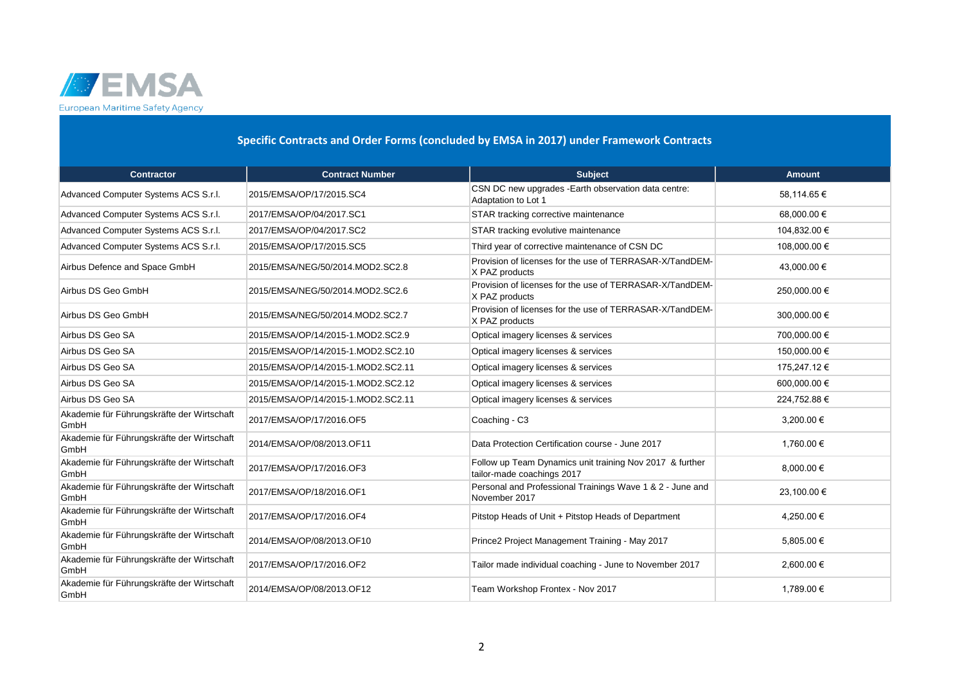

| <b>Contractor</b>                                  | <b>Contract Number</b>             | <b>Subject</b>                                                                         | <b>Amount</b> |
|----------------------------------------------------|------------------------------------|----------------------------------------------------------------------------------------|---------------|
| Advanced Computer Systems ACS S.r.l.               | 2015/EMSA/OP/17/2015.SC4           | CSN DC new upgrades -Earth observation data centre:<br>Adaptation to Lot 1             | 58,114.65 €   |
| Advanced Computer Systems ACS S.r.l.               | 2017/EMSA/OP/04/2017.SC1           | STAR tracking corrective maintenance                                                   | 68,000.00 €   |
| Advanced Computer Systems ACS S.r.l.               | 2017/EMSA/OP/04/2017.SC2           | STAR tracking evolutive maintenance                                                    | 104.832.00 €  |
| Advanced Computer Systems ACS S.r.l.               | 2015/EMSA/OP/17/2015.SC5           | Third year of corrective maintenance of CSN DC                                         | 108,000.00 €  |
| Airbus Defence and Space GmbH                      | 2015/EMSA/NEG/50/2014.MOD2.SC2.8   | Provision of licenses for the use of TERRASAR-X/TandDEM-<br>X PAZ products             | 43,000.00 €   |
| Airbus DS Geo GmbH                                 | 2015/EMSA/NEG/50/2014.MOD2.SC2.6   | Provision of licenses for the use of TERRASAR-X/TandDEM-<br>X PAZ products             | 250,000.00 €  |
| Airbus DS Geo GmbH                                 | 2015/EMSA/NEG/50/2014.MOD2.SC2.7   | Provision of licenses for the use of TERRASAR-X/TandDEM-<br>X PAZ products             | 300,000.00 €  |
| Airbus DS Geo SA                                   | 2015/EMSA/OP/14/2015-1.MOD2.SC2.9  | Optical imagery licenses & services                                                    | 700,000.00 €  |
| Airbus DS Geo SA                                   | 2015/EMSA/OP/14/2015-1.MOD2.SC2.10 | Optical imagery licenses & services                                                    | 150,000.00 €  |
| Airbus DS Geo SA                                   | 2015/EMSA/OP/14/2015-1.MOD2.SC2.11 | Optical imagery licenses & services                                                    | 175,247.12 €  |
| Airbus DS Geo SA                                   | 2015/EMSA/OP/14/2015-1.MOD2.SC2.12 | Optical imagery licenses & services                                                    | 600,000.00 €  |
| Airbus DS Geo SA                                   | 2015/EMSA/OP/14/2015-1.MOD2.SC2.11 | Optical imagery licenses & services                                                    | 224,752.88 €  |
| Akademie für Führungskräfte der Wirtschaft<br>GmbH | 2017/EMSA/OP/17/2016.OF5           | Coaching - C3                                                                          | 3,200.00 €    |
| Akademie für Führungskräfte der Wirtschaft<br>GmbH | 2014/EMSA/OP/08/2013.OF11          | Data Protection Certification course - June 2017                                       | 1.760.00 €    |
| Akademie für Führungskräfte der Wirtschaft<br>GmbH | 2017/EMSA/OP/17/2016.OF3           | Follow up Team Dynamics unit training Nov 2017 & further<br>tailor-made coachings 2017 | 8,000.00 €    |
| Akademie für Führungskräfte der Wirtschaft<br>GmbH | 2017/EMSA/OP/18/2016.OF1           | Personal and Professional Trainings Wave 1 & 2 - June and<br>November 2017             | 23,100.00 €   |
| Akademie für Führungskräfte der Wirtschaft<br>GmbH | 2017/EMSA/OP/17/2016.OF4           | Pitstop Heads of Unit + Pitstop Heads of Department                                    | 4,250.00 €    |
| Akademie für Führungskräfte der Wirtschaft<br>GmbH | 2014/EMSA/OP/08/2013.OF10          | Prince2 Project Management Training - May 2017                                         | 5,805.00 €    |
| Akademie für Führungskräfte der Wirtschaft<br>GmbH | 2017/EMSA/OP/17/2016.OF2           | Tailor made individual coaching - June to November 2017                                | 2.600.00 €    |
| Akademie für Führungskräfte der Wirtschaft<br>GmbH | 2014/EMSA/OP/08/2013.OF12          | Team Workshop Frontex - Nov 2017                                                       | 1,789.00 €    |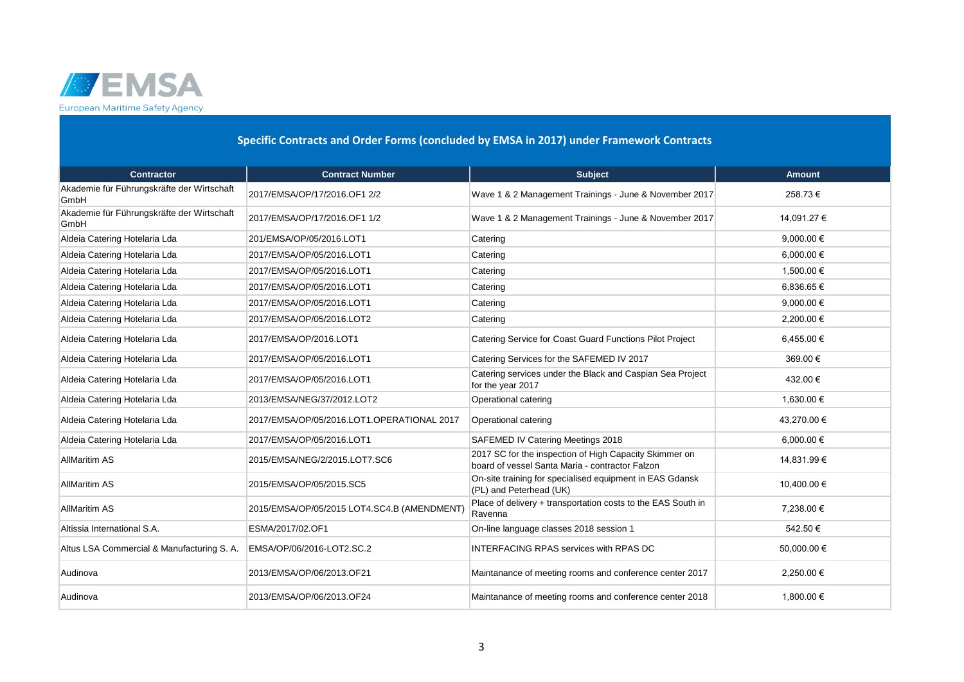

| <b>Contractor</b>                                  | <b>Contract Number</b>                      | <b>Subject</b>                                                                                            | <b>Amount</b>  |
|----------------------------------------------------|---------------------------------------------|-----------------------------------------------------------------------------------------------------------|----------------|
| Akademie für Führungskräfte der Wirtschaft<br>GmbH | 2017/EMSA/OP/17/2016.OF1 2/2                | Wave 1 & 2 Management Trainings - June & November 2017                                                    | 258.73€        |
| Akademie für Führungskräfte der Wirtschaft<br>GmbH | 2017/EMSA/OP/17/2016.OF1 1/2                | Wave 1 & 2 Management Trainings - June & November 2017                                                    | 14,091.27 €    |
| Aldeia Catering Hotelaria Lda                      | 201/EMSA/OP/05/2016.LOT1                    | Catering                                                                                                  | 9,000.00 $\in$ |
| Aldeia Catering Hotelaria Lda                      | 2017/EMSA/OP/05/2016.LOT1                   | Catering                                                                                                  | 6.000.00 €     |
| Aldeia Catering Hotelaria Lda                      | 2017/EMSA/OP/05/2016.LOT1                   | Catering                                                                                                  | 1,500.00 €     |
| Aldeia Catering Hotelaria Lda                      | 2017/EMSA/OP/05/2016.LOT1                   | Catering                                                                                                  | 6.836.65 €     |
| Aldeia Catering Hotelaria Lda                      | 2017/EMSA/OP/05/2016.LOT1                   | Catering                                                                                                  | 9,000.00 $\in$ |
| Aldeia Catering Hotelaria Lda                      | 2017/EMSA/OP/05/2016.LOT2                   | Catering                                                                                                  | 2,200.00 €     |
| Aldeia Catering Hotelaria Lda                      | 2017/EMSA/OP/2016.LOT1                      | Catering Service for Coast Guard Functions Pilot Project                                                  | 6,455.00 €     |
| Aldeia Catering Hotelaria Lda                      | 2017/EMSA/OP/05/2016.LOT1                   | Catering Services for the SAFEMED IV 2017                                                                 | 369.00 €       |
| Aldeia Catering Hotelaria Lda                      | 2017/EMSA/OP/05/2016.LOT1                   | Catering services under the Black and Caspian Sea Project<br>for the year 2017                            | 432.00 €       |
| Aldeia Catering Hotelaria Lda                      | 2013/EMSA/NEG/37/2012.LOT2                  | Operational catering                                                                                      | 1.630.00 €     |
| Aldeia Catering Hotelaria Lda                      | 2017/EMSA/OP/05/2016.LOT1.OPERATIONAL 2017  | Operational catering                                                                                      | 43,270.00 €    |
| Aldeia Catering Hotelaria Lda                      | 2017/EMSA/OP/05/2016.LOT1                   | SAFEMED IV Catering Meetings 2018                                                                         | 6.000.00 €     |
| <b>AllMaritim AS</b>                               | 2015/EMSA/NEG/2/2015.LOT7.SC6               | 2017 SC for the inspection of High Capacity Skimmer on<br>board of vessel Santa Maria - contractor Falzon | 14.831.99 €    |
| <b>AllMaritim AS</b>                               | 2015/EMSA/OP/05/2015.SC5                    | On-site training for specialised equipment in EAS Gdansk<br>(PL) and Peterhead (UK)                       | 10,400.00 €    |
| <b>AllMaritim AS</b>                               | 2015/EMSA/OP/05/2015 LOT4.SC4.B (AMENDMENT) | Place of delivery + transportation costs to the EAS South in<br>Ravenna                                   | 7,238.00 €     |
| Altissia International S.A.                        | ESMA/2017/02.OF1                            | On-line language classes 2018 session 1                                                                   | 542.50€        |
| Altus LSA Commercial & Manufacturing S. A.         | EMSA/OP/06/2016-LOT2.SC.2                   | <b>INTERFACING RPAS services with RPAS DC</b>                                                             | 50,000.00 €    |
| Audinova                                           | 2013/EMSA/OP/06/2013.OF21                   | Maintanance of meeting rooms and conference center 2017                                                   | 2.250.00 €     |
| Audinova                                           | 2013/EMSA/OP/06/2013.OF24                   | Maintanance of meeting rooms and conference center 2018                                                   | 1.800.00 €     |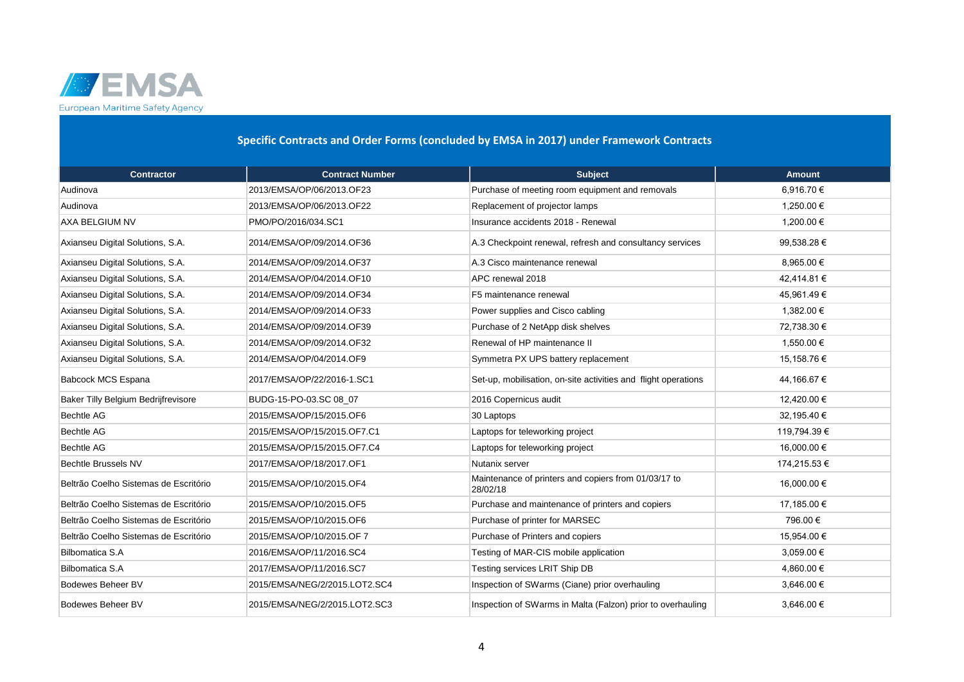

| <b>Contractor</b>                          | <b>Contract Number</b>        | <b>Subject</b>                                                   | <b>Amount</b> |
|--------------------------------------------|-------------------------------|------------------------------------------------------------------|---------------|
| Audinova                                   | 2013/EMSA/OP/06/2013.OF23     | Purchase of meeting room equipment and removals                  | 6.916.70 €    |
| Audinova                                   | 2013/EMSA/OP/06/2013.OF22     | Replacement of projector lamps                                   | 1.250.00 €    |
| <b>AXA BELGIUM NV</b>                      | PMO/PO/2016/034.SC1           | Insurance accidents 2018 - Renewal                               | 1,200.00 €    |
| Axianseu Digital Solutions, S.A.           | 2014/EMSA/OP/09/2014.OF36     | A.3 Checkpoint renewal, refresh and consultancy services         | 99,538.28€    |
| Axianseu Digital Solutions, S.A.           | 2014/EMSA/OP/09/2014.OF37     | A.3 Cisco maintenance renewal                                    | 8,965.00 €    |
| Axianseu Digital Solutions, S.A.           | 2014/EMSA/OP/04/2014.OF10     | APC renewal 2018                                                 | 42,414.81 €   |
| Axianseu Digital Solutions, S.A.           | 2014/EMSA/OP/09/2014.OF34     | F5 maintenance renewal                                           | 45,961.49€    |
| Axianseu Digital Solutions, S.A.           | 2014/EMSA/OP/09/2014.OF33     | Power supplies and Cisco cabling                                 | 1,382.00 €    |
| Axianseu Digital Solutions, S.A.           | 2014/EMSA/OP/09/2014.OF39     | Purchase of 2 NetApp disk shelves                                | 72,738.30 €   |
| Axianseu Digital Solutions, S.A.           | 2014/EMSA/OP/09/2014.OF32     | Renewal of HP maintenance II                                     | 1,550.00 €    |
| Axianseu Digital Solutions, S.A.           | 2014/EMSA/OP/04/2014.OF9      | Symmetra PX UPS battery replacement                              | 15,158.76 €   |
| <b>Babcock MCS Espana</b>                  | 2017/EMSA/OP/22/2016-1.SC1    | Set-up, mobilisation, on-site activities and flight operations   | 44,166.67 €   |
| <b>Baker Tilly Belgium Bedrijfrevisore</b> | BUDG-15-PO-03.SC 08 07        | 2016 Copernicus audit                                            | 12,420.00 €   |
| <b>Bechtle AG</b>                          | 2015/EMSA/OP/15/2015.OF6      | 30 Laptops                                                       | 32,195.40 €   |
| Bechtle AG                                 | 2015/EMSA/OP/15/2015.OF7.C1   | Laptops for teleworking project                                  | 119.794.39 €  |
| Bechtle AG                                 | 2015/EMSA/OP/15/2015.OF7.C4   | Laptops for teleworking project                                  | 16.000.00 €   |
| Bechtle Brussels NV                        | 2017/EMSA/OP/18/2017.OF1      | Nutanix server                                                   | 174,215.53 €  |
| Beltrão Coelho Sistemas de Escritório      | 2015/EMSA/OP/10/2015.OF4      | Maintenance of printers and copiers from 01/03/17 to<br>28/02/18 | 16,000.00 €   |
| Beltrão Coelho Sistemas de Escritório      | 2015/EMSA/OP/10/2015.OF5      | Purchase and maintenance of printers and copiers                 | 17,185.00 €   |
| Beltrão Coelho Sistemas de Escritório      | 2015/EMSA/OP/10/2015.OF6      | Purchase of printer for MARSEC                                   | 796.00 €      |
| Beltrão Coelho Sistemas de Escritório      | 2015/EMSA/OP/10/2015.OF 7     | Purchase of Printers and copiers                                 | 15,954.00 €   |
| Bilbomatica S.A                            | 2016/EMSA/OP/11/2016.SC4      | Testing of MAR-CIS mobile application                            | 3,059.00 €    |
| Bilbomatica S.A                            | 2017/EMSA/OP/11/2016.SC7      | Testing services LRIT Ship DB                                    | 4,860.00 €    |
| Bodewes Beheer BV                          | 2015/EMSA/NEG/2/2015.LOT2.SC4 | Inspection of SWarms (Ciane) prior overhauling                   | 3,646.00 €    |
| Bodewes Beheer BV                          | 2015/EMSA/NEG/2/2015.LOT2.SC3 | Inspection of SWarms in Malta (Falzon) prior to overhauling      | 3,646.00 €    |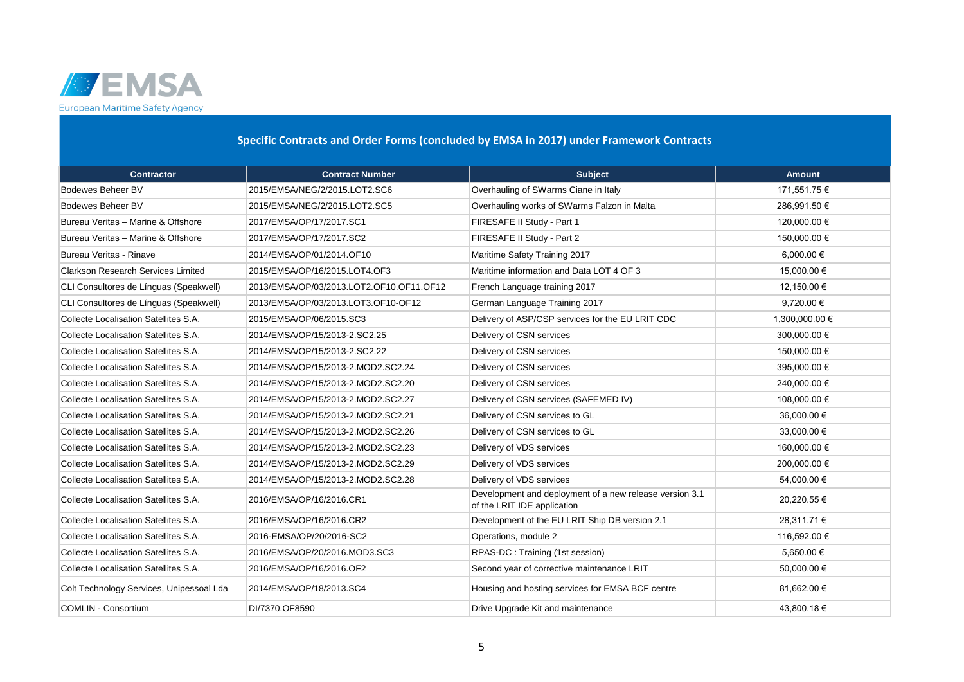

| <b>Contractor</b>                         | <b>Contract Number</b>                   | <b>Subject</b>                                                                         | <b>Amount</b>  |
|-------------------------------------------|------------------------------------------|----------------------------------------------------------------------------------------|----------------|
| Bodewes Beheer BV                         | 2015/EMSA/NEG/2/2015.LOT2.SC6            | Overhauling of SWarms Ciane in Italy                                                   | 171.551.75 €   |
| Bodewes Beheer BV                         | 2015/EMSA/NEG/2/2015.LOT2.SC5            | Overhauling works of SWarms Falzon in Malta                                            | 286.991.50 €   |
| Bureau Veritas - Marine & Offshore        | 2017/EMSA/OP/17/2017.SC1                 | FIRESAFE II Study - Part 1                                                             | 120,000.00 €   |
| Bureau Veritas - Marine & Offshore        | 2017/EMSA/OP/17/2017.SC2                 | FIRESAFE II Study - Part 2                                                             | 150.000.00 €   |
| Bureau Veritas - Rinave                   | 2014/EMSA/OP/01/2014.OF10                | Maritime Safety Training 2017                                                          | 6.000.00 €     |
| <b>Clarkson Research Services Limited</b> | 2015/EMSA/OP/16/2015.LOT4.OF3            | Maritime information and Data LOT 4 OF 3                                               | 15,000.00 €    |
| CLI Consultores de Línguas (Speakwell)    | 2013/EMSA/OP/03/2013.LOT2.OF10.OF11.OF12 | French Language training 2017                                                          | 12,150.00 €    |
| CLI Consultores de Línguas (Speakwell)    | 2013/EMSA/OP/03/2013.LOT3.OF10-OF12      | German Language Training 2017                                                          | 9.720.00 €     |
| Collecte Localisation Satellites S.A.     | 2015/EMSA/OP/06/2015.SC3                 | Delivery of ASP/CSP services for the EU LRIT CDC                                       | 1,300,000.00 € |
| Collecte Localisation Satellites S.A.     | 2014/EMSA/OP/15/2013-2.SC2.25            | Delivery of CSN services                                                               | 300.000.00 €   |
| Collecte Localisation Satellites S.A.     | 2014/EMSA/OP/15/2013-2.SC2.22            | Delivery of CSN services                                                               | 150,000.00 €   |
| Collecte Localisation Satellites S.A.     | 2014/EMSA/OP/15/2013-2.MOD2.SC2.24       | Delivery of CSN services                                                               | 395,000.00 €   |
| Collecte Localisation Satellites S.A.     | 2014/EMSA/OP/15/2013-2.MOD2.SC2.20       | Delivery of CSN services                                                               | 240.000.00 €   |
| Collecte Localisation Satellites S.A.     | 2014/EMSA/OP/15/2013-2.MOD2.SC2.27       | Delivery of CSN services (SAFEMED IV)                                                  | 108,000.00 €   |
| Collecte Localisation Satellites S.A.     | 2014/EMSA/OP/15/2013-2.MOD2.SC2.21       | Delivery of CSN services to GL                                                         | 36,000.00 €    |
| Collecte Localisation Satellites S.A.     | 2014/EMSA/OP/15/2013-2.MOD2.SC2.26       | Delivery of CSN services to GL                                                         | 33,000.00 €    |
| Collecte Localisation Satellites S.A.     | 2014/EMSA/OP/15/2013-2.MOD2.SC2.23       | Delivery of VDS services                                                               | 160,000.00 €   |
| Collecte Localisation Satellites S.A.     | 2014/EMSA/OP/15/2013-2.MOD2.SC2.29       | Delivery of VDS services                                                               | 200,000.00 €   |
| Collecte Localisation Satellites S.A.     | 2014/EMSA/OP/15/2013-2.MOD2.SC2.28       | Delivery of VDS services                                                               | 54,000.00 €    |
| Collecte Localisation Satellites S.A.     | 2016/EMSA/OP/16/2016.CR1                 | Development and deployment of a new release version 3.1<br>of the LRIT IDE application | 20,220.55 €    |
| Collecte Localisation Satellites S.A.     | 2016/EMSA/OP/16/2016.CR2                 | Development of the EU LRIT Ship DB version 2.1                                         | 28.311.71 €    |
| Collecte Localisation Satellites S.A.     | 2016-EMSA/OP/20/2016-SC2                 | Operations, module 2                                                                   | 116,592.00 €   |
| Collecte Localisation Satellites S.A.     | 2016/EMSA/OP/20/2016.MOD3.SC3            | RPAS-DC: Training (1st session)                                                        | 5,650.00 €     |
| Collecte Localisation Satellites S.A.     | 2016/EMSA/OP/16/2016.OF2                 | Second year of corrective maintenance LRIT                                             | 50,000.00 €    |
| Colt Technology Services, Unipessoal Lda  | 2014/EMSA/OP/18/2013.SC4                 | Housing and hosting services for EMSA BCF centre                                       | 81,662.00 €    |
| COMLIN - Consortium                       | DI/7370.OF8590                           | Drive Upgrade Kit and maintenance                                                      | 43.800.18 €    |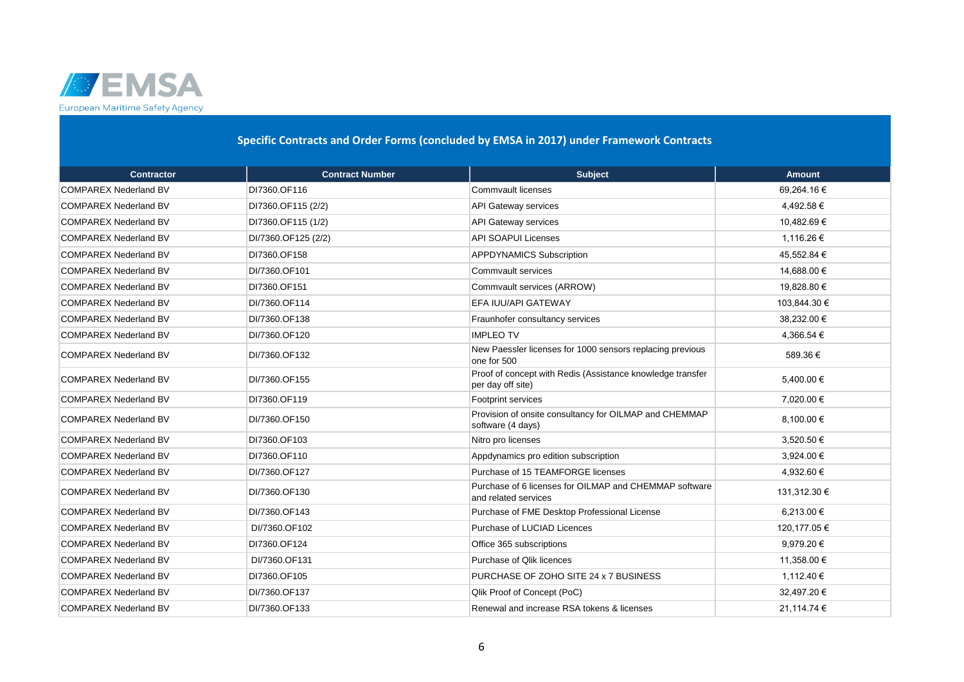

| <b>Contractor</b>            | <b>Contract Number</b> | <b>Subject</b>                                                                  | <b>Amount</b> |
|------------------------------|------------------------|---------------------------------------------------------------------------------|---------------|
| <b>COMPAREX Nederland BV</b> | DI7360.OF116           | Commvault licenses                                                              | 69,264.16€    |
| <b>COMPAREX Nederland BV</b> | DI7360.OF115 (2/2)     | <b>API Gateway services</b>                                                     | 4,492.58€     |
| <b>COMPAREX Nederland BV</b> | DI7360.OF115 (1/2)     | <b>API Gateway services</b>                                                     | 10,482.69€    |
| <b>COMPAREX Nederland BV</b> | DI/7360.OF125 (2/2)    | <b>API SOAPUI Licenses</b>                                                      | 1,116.26 €    |
| <b>COMPAREX Nederland BV</b> | DI7360.OF158           | <b>APPDYNAMICS Subscription</b>                                                 | 45,552.84 €   |
| <b>COMPAREX Nederland BV</b> | DI/7360.OF101          | Commvault services                                                              | 14,688.00 €   |
| <b>COMPAREX Nederland BV</b> | DI7360.OF151           | Commvault services (ARROW)                                                      | 19,828.80 €   |
| <b>COMPAREX Nederland BV</b> | DI/7360.OF114          | EFA IUU/API GATEWAY                                                             | 103.844.30 €  |
| <b>COMPAREX Nederland BV</b> | DI/7360.OF138          | Fraunhofer consultancy services                                                 | 38,232.00 €   |
| <b>COMPAREX Nederland BV</b> | DI/7360.OF120          | <b>IMPLEO TV</b>                                                                | 4,366.54 €    |
| <b>COMPAREX Nederland BV</b> | DI/7360.OF132          | New Paessler licenses for 1000 sensors replacing previous<br>one for 500        | 589.36€       |
| <b>COMPAREX Nederland BV</b> | DI/7360.OF155          | Proof of concept with Redis (Assistance knowledge transfer<br>per day off site) | 5,400.00 €    |
| <b>COMPAREX Nederland BV</b> | DI7360.OF119           | Footprint services                                                              | 7,020.00 €    |
| <b>COMPAREX Nederland BV</b> | DI/7360.OF150          | Provision of onsite consultancy for OILMAP and CHEMMAP<br>software (4 days)     | 8,100.00 €    |
| COMPAREX Nederland BV        | DI7360.OF103           | Nitro pro licenses                                                              | 3,520.50 €    |
| <b>COMPAREX Nederland BV</b> | DI7360.OF110           | Appdynamics pro edition subscription                                            | 3,924.00 €    |
| <b>COMPAREX Nederland BV</b> | DI/7360.OF127          | Purchase of 15 TEAMFORGE licenses                                               | 4,932.60 €    |
| <b>COMPAREX Nederland BV</b> | DI/7360.OF130          | Purchase of 6 licenses for OILMAP and CHEMMAP software<br>and related services  | 131,312.30 €  |
| <b>COMPAREX Nederland BV</b> | DI/7360.OF143          | Purchase of FME Desktop Professional License                                    | 6,213.00 €    |
| <b>COMPAREX Nederland BV</b> | DI/7360.OF102          | Purchase of LUCIAD Licences                                                     | 120,177.05 €  |
| <b>COMPAREX Nederland BV</b> | DI7360.OF124           | Office 365 subscriptions                                                        | 9,979.20€     |
| <b>COMPAREX Nederland BV</b> | DI/7360.OF131          | Purchase of Qlik licences                                                       | 11,358.00 €   |
| <b>COMPAREX Nederland BV</b> | DI7360.OF105           | PURCHASE OF ZOHO SITE 24 x 7 BUSINESS                                           | 1,112.40 €    |
| <b>COMPAREX Nederland BV</b> | DI/7360.OF137          | Qlik Proof of Concept (PoC)                                                     | 32,497.20 €   |
| <b>COMPAREX Nederland BV</b> | DI/7360.OF133          | Renewal and increase RSA tokens & licenses                                      | 21,114.74 €   |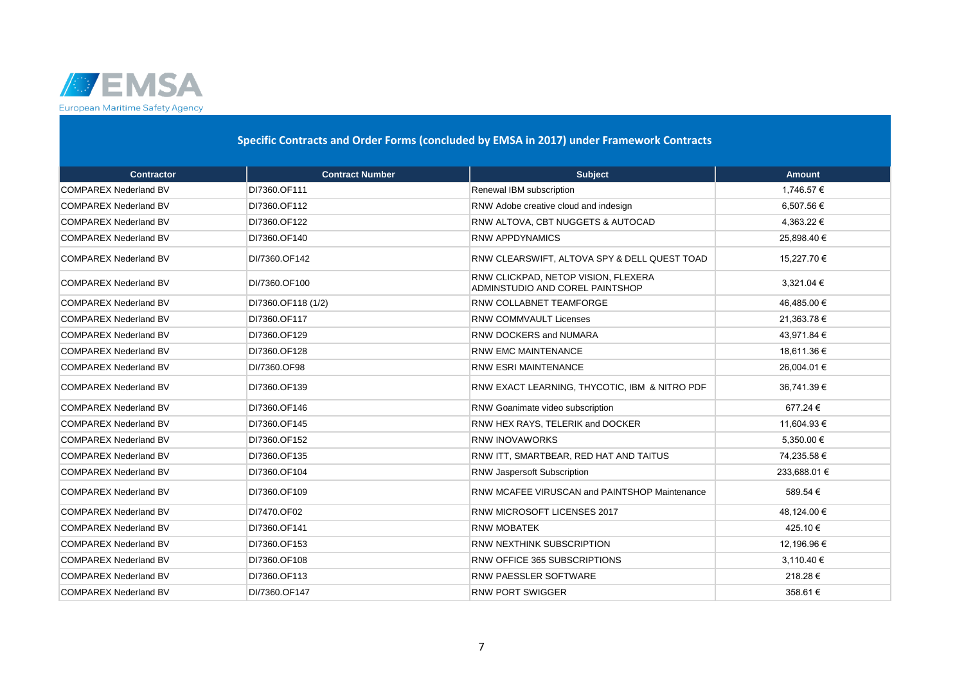

| <b>Contractor</b>            | <b>Contract Number</b> | <b>Subject</b>                                                         | <b>Amount</b> |
|------------------------------|------------------------|------------------------------------------------------------------------|---------------|
| <b>COMPAREX Nederland BV</b> | DI7360.OF111           | Renewal IBM subscription                                               | 1.746.57 €    |
| <b>COMPAREX Nederland BV</b> | DI7360.OF112           | RNW Adobe creative cloud and indesign                                  | 6,507.56€     |
| <b>COMPAREX Nederland BV</b> | DI7360.OF122           | RNW ALTOVA, CBT NUGGETS & AUTOCAD                                      | 4,363.22 €    |
| <b>COMPAREX Nederland BV</b> | DI7360.OF140           | <b>RNW APPDYNAMICS</b>                                                 | 25,898.40 €   |
| <b>COMPAREX Nederland BV</b> | DI/7360.OF142          | RNW CLEARSWIFT, ALTOVA SPY & DELL QUEST TOAD                           | 15,227.70 €   |
| <b>COMPAREX Nederland BV</b> | DI/7360.OF100          | RNW CLICKPAD, NETOP VISION, FLEXERA<br>ADMINSTUDIO AND COREL PAINTSHOP | 3,321.04 €    |
| <b>COMPAREX Nederland BV</b> | DI7360.OF118 (1/2)     | <b>RNW COLLABNET TEAMFORGE</b>                                         | 46,485.00 €   |
| <b>COMPAREX Nederland BV</b> | DI7360.OF117           | <b>RNW COMMVAULT Licenses</b>                                          | 21,363.78 €   |
| <b>COMPAREX Nederland BV</b> | DI7360.OF129           | RNW DOCKERS and NUMARA                                                 | 43.971.84 €   |
| <b>COMPAREX Nederland BV</b> | DI7360.OF128           | <b>RNW EMC MAINTENANCE</b>                                             | 18,611.36 €   |
| <b>COMPAREX Nederland BV</b> | DI/7360.OF98           | <b>RNW ESRI MAINTENANCE</b>                                            | 26,004.01 €   |
| <b>COMPAREX Nederland BV</b> | DI7360.OF139           | RNW EXACT LEARNING, THYCOTIC, IBM & NITRO PDF                          | 36,741.39 €   |
| <b>COMPAREX Nederland BV</b> | DI7360.OF146           | RNW Goanimate video subscription                                       | 677.24 €      |
| <b>COMPAREX Nederland BV</b> | DI7360.OF145           | RNW HEX RAYS, TELERIK and DOCKER                                       | 11,604.93 €   |
| <b>COMPAREX Nederland BV</b> | DI7360.OF152           | <b>RNW INOVAWORKS</b>                                                  | 5,350.00 €    |
| <b>COMPAREX Nederland BV</b> | DI7360.OF135           | RNW ITT, SMARTBEAR, RED HAT AND TAITUS                                 | 74,235.58 €   |
| <b>COMPAREX Nederland BV</b> | DI7360.OF104           | <b>RNW Jaspersoft Subscription</b>                                     | 233,688.01 €  |
| <b>COMPAREX Nederland BV</b> | DI7360.OF109           | RNW MCAFEE VIRUSCAN and PAINTSHOP Maintenance                          | 589.54 €      |
| <b>COMPAREX Nederland BV</b> | DI7470.OF02            | RNW MICROSOFT LICENSES 2017                                            | 48,124.00 €   |
| <b>COMPAREX Nederland BV</b> | DI7360.OF141           | <b>RNW MOBATEK</b>                                                     | 425.10 €      |
| <b>COMPAREX Nederland BV</b> | DI7360.OF153           | RNW NEXTHINK SUBSCRIPTION                                              | 12,196.96 €   |
| <b>COMPAREX Nederland BV</b> | DI7360.OF108           | RNW OFFICE 365 SUBSCRIPTIONS                                           | 3,110.40 €    |
| <b>COMPAREX Nederland BV</b> | DI7360.OF113           | RNW PAESSLER SOFTWARE                                                  | 218.28€       |
| <b>COMPAREX Nederland BV</b> | DI/7360.OF147          | <b>RNW PORT SWIGGER</b>                                                | 358.61 €      |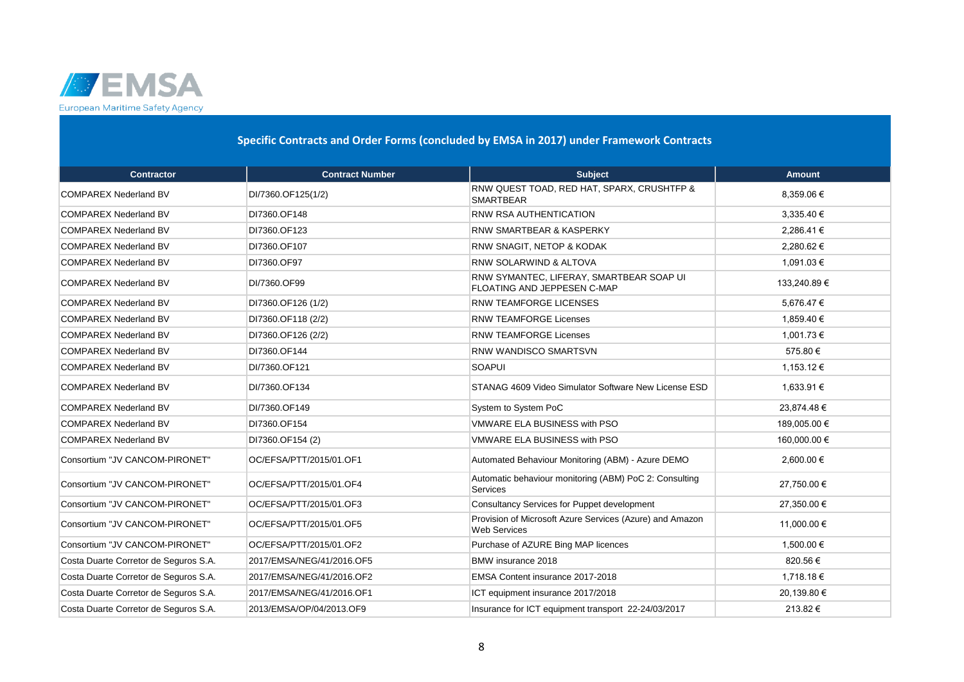

| <b>Contractor</b>                     | <b>Contract Number</b>    | <b>Subject</b>                                                                  | <b>Amount</b>  |
|---------------------------------------|---------------------------|---------------------------------------------------------------------------------|----------------|
| <b>COMPAREX Nederland BV</b>          | DI/7360.OF125(1/2)        | RNW QUEST TOAD, RED HAT, SPARX, CRUSHTFP &<br><b>SMARTBEAR</b>                  | 8,359.06€      |
| <b>COMPAREX Nederland BV</b>          | DI7360.OF148              | RNW RSA AUTHENTICATION                                                          | 3,335.40 €     |
| <b>COMPAREX Nederland BV</b>          | DI7360.OF123              | <b>RNW SMARTBEAR &amp; KASPERKY</b>                                             | 2,286.41 €     |
| <b>COMPAREX Nederland BV</b>          | DI7360.OF107              | RNW SNAGIT, NETOP & KODAK                                                       | 2,280.62 €     |
| <b>COMPAREX Nederland BV</b>          | DI7360.OF97               | <b>RNW SOLARWIND &amp; ALTOVA</b>                                               | 1,091.03 €     |
| <b>COMPAREX Nederland BV</b>          | DI/7360.OF99              | RNW SYMANTEC, LIFERAY, SMARTBEAR SOAP UI<br>FLOATING AND JEPPESEN C-MAP         | 133,240.89 €   |
| <b>COMPAREX Nederland BV</b>          | DI7360.OF126 (1/2)        | <b>RNW TEAMFORGE LICENSES</b>                                                   | 5.676.47 €     |
| <b>COMPAREX Nederland BV</b>          | DI7360.OF118 (2/2)        | <b>RNW TEAMFORGE Licenses</b>                                                   | 1,859.40 €     |
| <b>COMPAREX Nederland BV</b>          | DI7360.OF126 (2/2)        | <b>RNW TEAMFORGE Licenses</b>                                                   | 1,001.73 €     |
| <b>COMPAREX Nederland BV</b>          | DI7360.OF144              | RNW WANDISCO SMARTSVN                                                           | 575.80€        |
| <b>COMPAREX Nederland BV</b>          | DI/7360.OF121             | SOAPUI                                                                          | $1,153.12 \in$ |
| <b>COMPAREX Nederland BV</b>          | DI/7360.OF134             | STANAG 4609 Video Simulator Software New License ESD                            | 1,633.91 €     |
| <b>COMPAREX Nederland BV</b>          | DI/7360.OF149             | System to System PoC                                                            | 23.874.48€     |
| <b>COMPAREX Nederland BV</b>          | DI7360.OF154              | VMWARE ELA BUSINESS with PSO                                                    | 189,005.00 €   |
| <b>COMPAREX Nederland BV</b>          | DI7360.OF154 (2)          | VMWARE ELA BUSINESS with PSO                                                    | 160,000.00 €   |
| Consortium "JV CANCOM-PIRONET"        | OC/EFSA/PTT/2015/01.OF1   | Automated Behaviour Monitoring (ABM) - Azure DEMO                               | 2,600.00 €     |
| Consortium "JV CANCOM-PIRONET"        | OC/EFSA/PTT/2015/01.OF4   | Automatic behaviour monitoring (ABM) PoC 2: Consulting<br>Services              | 27,750.00 €    |
| Consortium "JV CANCOM-PIRONET"        | OC/EFSA/PTT/2015/01.OF3   | Consultancy Services for Puppet development                                     | 27,350.00 €    |
| Consortium "JV CANCOM-PIRONET"        | OC/EFSA/PTT/2015/01.OF5   | Provision of Microsoft Azure Services (Azure) and Amazon<br><b>Web Services</b> | 11,000.00 €    |
| Consortium "JV CANCOM-PIRONET"        | OC/EFSA/PTT/2015/01.OF2   | Purchase of AZURE Bing MAP licences                                             | 1,500.00 €     |
| Costa Duarte Corretor de Seguros S.A. | 2017/EMSA/NEG/41/2016.OF5 | BMW insurance 2018                                                              | 820.56€        |
| Costa Duarte Corretor de Seguros S.A. | 2017/EMSA/NEG/41/2016.OF2 | EMSA Content insurance 2017-2018                                                | 1,718.18 €     |
| Costa Duarte Corretor de Seguros S.A. | 2017/EMSA/NEG/41/2016.OF1 | ICT equipment insurance 2017/2018                                               | 20,139.80 €    |
| Costa Duarte Corretor de Seguros S.A. | 2013/EMSA/OP/04/2013.OF9  | Insurance for ICT equipment transport 22-24/03/2017                             | 213.82€        |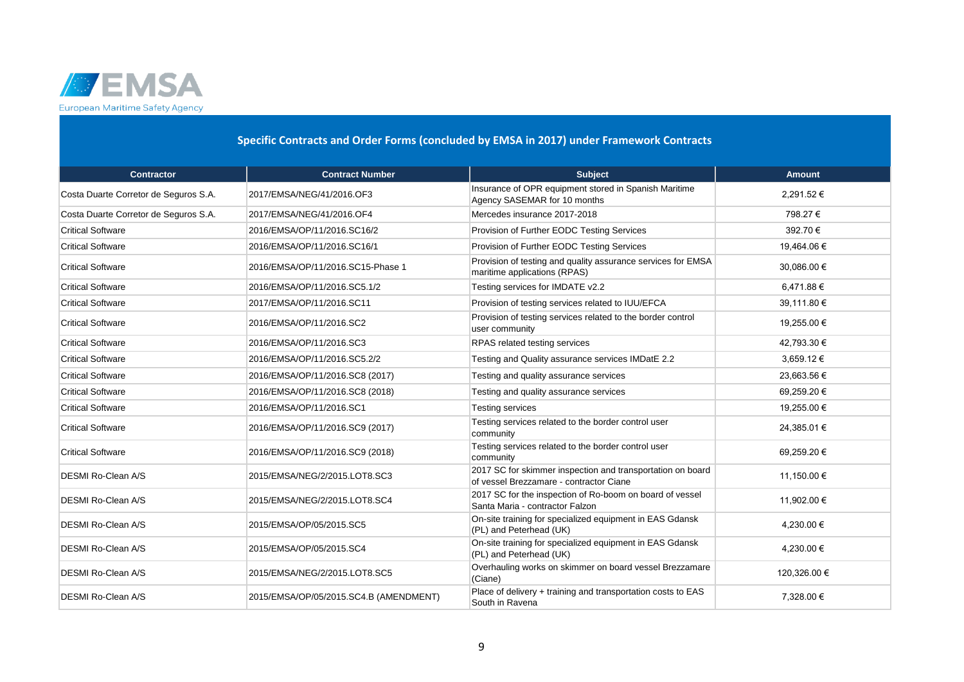

| <b>Contractor</b>                     | <b>Contract Number</b>                 | <b>Subject</b>                                                                                        | <b>Amount</b> |
|---------------------------------------|----------------------------------------|-------------------------------------------------------------------------------------------------------|---------------|
| Costa Duarte Corretor de Seguros S.A. | 2017/EMSA/NEG/41/2016.OF3              | Insurance of OPR equipment stored in Spanish Maritime<br>Agency SASEMAR for 10 months                 | 2,291.52 €    |
| Costa Duarte Corretor de Seguros S.A. | 2017/EMSA/NEG/41/2016.OF4              | Mercedes insurance 2017-2018                                                                          | 798.27€       |
| <b>Critical Software</b>              | 2016/EMSA/OP/11/2016.SC16/2            | Provision of Further EODC Testing Services                                                            | 392.70 €      |
| <b>Critical Software</b>              | 2016/EMSA/OP/11/2016.SC16/1            | Provision of Further EODC Testing Services                                                            | 19,464.06 €   |
| <b>Critical Software</b>              | 2016/EMSA/OP/11/2016.SC15-Phase 1      | Provision of testing and quality assurance services for EMSA<br>maritime applications (RPAS)          | 30,086.00 €   |
| <b>Critical Software</b>              | 2016/EMSA/OP/11/2016.SC5.1/2           | Testing services for IMDATE v2.2                                                                      | 6.471.88 €    |
| <b>Critical Software</b>              | 2017/EMSA/OP/11/2016.SC11              | Provision of testing services related to IUU/EFCA                                                     | 39.111.80 €   |
| <b>Critical Software</b>              | 2016/EMSA/OP/11/2016.SC2               | Provision of testing services related to the border control<br>user community                         | 19,255.00 €   |
| <b>Critical Software</b>              | 2016/EMSA/OP/11/2016.SC3               | <b>RPAS related testing services</b>                                                                  | 42.793.30 €   |
| <b>Critical Software</b>              | 2016/EMSA/OP/11/2016.SC5.2/2           | Testing and Quality assurance services IMDatE 2.2                                                     | 3,659.12€     |
| <b>Critical Software</b>              | 2016/EMSA/OP/11/2016.SC8 (2017)        | Testing and quality assurance services                                                                | 23,663.56 €   |
| <b>Critical Software</b>              | 2016/EMSA/OP/11/2016.SC8 (2018)        | Testing and quality assurance services                                                                | 69.259.20€    |
| <b>Critical Software</b>              | 2016/EMSA/OP/11/2016.SC1               | <b>Testing services</b>                                                                               | 19,255.00 €   |
| <b>Critical Software</b>              | 2016/EMSA/OP/11/2016.SC9 (2017)        | Testing services related to the border control user<br>community                                      | 24,385.01 €   |
| <b>Critical Software</b>              | 2016/EMSA/OP/11/2016.SC9 (2018)        | Testing services related to the border control user<br>community                                      | 69,259.20€    |
| DESMI Ro-Clean A/S                    | 2015/EMSA/NEG/2/2015.LOT8.SC3          | 2017 SC for skimmer inspection and transportation on board<br>of vessel Brezzamare - contractor Ciane | 11,150.00 €   |
| DESMI Ro-Clean A/S                    | 2015/EMSA/NEG/2/2015.LOT8.SC4          | 2017 SC for the inspection of Ro-boom on board of vessel<br>Santa Maria - contractor Falzon           | 11,902.00 €   |
| <b>DESMI Ro-Clean A/S</b>             | 2015/EMSA/OP/05/2015.SC5               | On-site training for specialized equipment in EAS Gdansk<br>(PL) and Peterhead (UK)                   | 4,230.00 €    |
| <b>DESMI Ro-Clean A/S</b>             | 2015/EMSA/OP/05/2015.SC4               | On-site training for specialized equipment in EAS Gdansk<br>(PL) and Peterhead (UK)                   | 4,230.00 €    |
| DESMI Ro-Clean A/S                    | 2015/EMSA/NEG/2/2015.LOT8.SC5          | Overhauling works on skimmer on board vessel Brezzamare<br>(Ciane)                                    | 120,326.00 €  |
| <b>DESMI Ro-Clean A/S</b>             | 2015/EMSA/OP/05/2015.SC4.B (AMENDMENT) | Place of delivery + training and transportation costs to EAS<br>South in Ravena                       | 7.328.00 €    |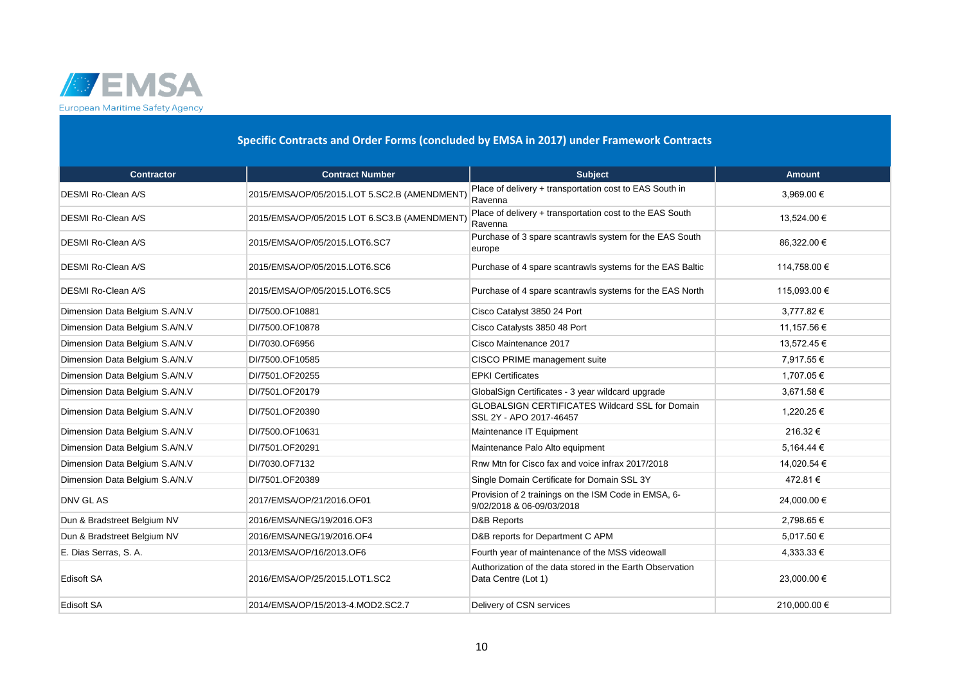

| <b>Contractor</b>              | <b>Contract Number</b>                      | <b>Subject</b>                                                                    | <b>Amount</b> |
|--------------------------------|---------------------------------------------|-----------------------------------------------------------------------------------|---------------|
| <b>DESMI Ro-Clean A/S</b>      | 2015/EMSA/OP/05/2015.LOT 5.SC2.B (AMENDMENT | Place of delivery + transportation cost to EAS South in<br>Ravenna                | 3,969.00 €    |
| <b>DESMI Ro-Clean A/S</b>      | 2015/EMSA/OP/05/2015 LOT 6.SC3.B (AMENDMENT | Place of delivery + transportation cost to the EAS South<br>Ravenna               | 13,524.00 €   |
| <b>DESMI Ro-Clean A/S</b>      | 2015/EMSA/OP/05/2015.LOT6.SC7               | Purchase of 3 spare scantrawls system for the EAS South<br>europe                 | 86.322.00 €   |
| <b>DESMI Ro-Clean A/S</b>      | 2015/EMSA/OP/05/2015.LOT6.SC6               | Purchase of 4 spare scantrawls systems for the EAS Baltic                         | 114.758.00 €  |
| <b>DESMI Ro-Clean A/S</b>      | 2015/EMSA/OP/05/2015.LOT6.SC5               | Purchase of 4 spare scantrawls systems for the EAS North                          | 115,093.00 €  |
| Dimension Data Belgium S.A/N.V | DI/7500.OF10881                             | Cisco Catalyst 3850 24 Port                                                       | 3.777.82 €    |
| Dimension Data Belgium S.A/N.V | DI/7500.OF10878                             | Cisco Catalysts 3850 48 Port                                                      | 11.157.56 €   |
| Dimension Data Belgium S.A/N.V | DI/7030.OF6956                              | Cisco Maintenance 2017                                                            | 13,572.45 €   |
| Dimension Data Belgium S.A/N.V | DI/7500.OF10585                             | CISCO PRIME management suite                                                      | 7,917.55 €    |
| Dimension Data Belgium S.A/N.V | DI/7501.OF20255                             | <b>EPKI</b> Certificates                                                          | 1.707.05 €    |
| Dimension Data Belgium S.A/N.V | DI/7501.OF20179                             | GlobalSign Certificates - 3 year wildcard upgrade                                 | 3,671.58€     |
| Dimension Data Belgium S.A/N.V | DI/7501.OF20390                             | <b>GLOBALSIGN CERTIFICATES Wildcard SSL for Domain</b><br>SSL 2Y - APO 2017-46457 | 1.220.25 €    |
| Dimension Data Belgium S.A/N.V | DI/7500.OF10631                             | Maintenance IT Equipment                                                          | 216.32€       |
| Dimension Data Belgium S.A/N.V | DI/7501.OF20291                             | Maintenance Palo Alto equipment                                                   | 5,164.44 €    |
| Dimension Data Belgium S.A/N.V | DI/7030.OF7132                              | Rnw Mtn for Cisco fax and voice infrax 2017/2018                                  | 14,020.54 €   |
| Dimension Data Belgium S.A/N.V | DI/7501.OF20389                             | Single Domain Certificate for Domain SSL 3Y                                       | 472.81 €      |
| <b>DNV GLAS</b>                | 2017/EMSA/OP/21/2016.OF01                   | Provision of 2 trainings on the ISM Code in EMSA, 6-<br>9/02/2018 & 06-09/03/2018 | 24,000.00 €   |
| Dun & Bradstreet Belgium NV    | 2016/EMSA/NEG/19/2016.OF3                   | <b>D&amp;B Reports</b>                                                            | 2,798.65€     |
| Dun & Bradstreet Belgium NV    | 2016/EMSA/NEG/19/2016.OF4                   | D&B reports for Department C APM                                                  | 5,017.50 €    |
| E. Dias Serras, S. A.          | 2013/EMSA/OP/16/2013.OF6                    | Fourth year of maintenance of the MSS videowall                                   | 4,333.33 €    |
| Edisoft SA                     | 2016/EMSA/OP/25/2015.LOT1.SC2               | Authorization of the data stored in the Earth Observation<br>Data Centre (Lot 1)  | 23,000.00 €   |
| Edisoft SA                     | 2014/EMSA/OP/15/2013-4.MOD2.SC2.7           | Delivery of CSN services                                                          | 210,000.00 €  |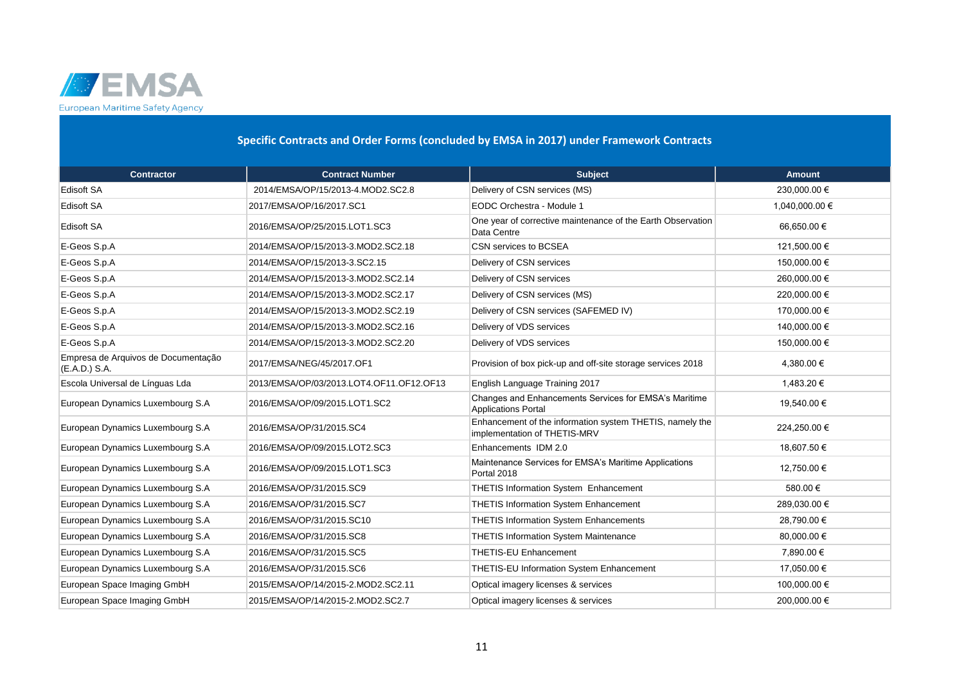

| <b>Contractor</b>                                    | <b>Contract Number</b>                   | <b>Subject</b>                                                                           | <b>Amount</b>  |
|------------------------------------------------------|------------------------------------------|------------------------------------------------------------------------------------------|----------------|
| Edisoft SA                                           | 2014/EMSA/OP/15/2013-4.MOD2.SC2.8        | Delivery of CSN services (MS)                                                            | 230.000.00 €   |
| Edisoft SA                                           | 2017/EMSA/OP/16/2017.SC1                 | EODC Orchestra - Module 1                                                                | 1.040.000.00 € |
| Edisoft SA                                           | 2016/EMSA/OP/25/2015.LOT1.SC3            | One year of corrective maintenance of the Earth Observation<br>Data Centre               | 66,650.00 €    |
| E-Geos S.p.A                                         | 2014/EMSA/OP/15/2013-3.MOD2.SC2.18       | CSN services to BCSEA                                                                    | 121,500.00 €   |
| E-Geos S.p.A                                         | 2014/EMSA/OP/15/2013-3.SC2.15            | Delivery of CSN services                                                                 | 150,000.00 €   |
| E-Geos S.p.A                                         | 2014/EMSA/OP/15/2013-3.MOD2.SC2.14       | Delivery of CSN services                                                                 | 260.000.00 €   |
| E-Geos S.p.A                                         | 2014/EMSA/OP/15/2013-3.MOD2.SC2.17       | Delivery of CSN services (MS)                                                            | 220,000.00 €   |
| E-Geos S.p.A                                         | 2014/EMSA/OP/15/2013-3.MOD2.SC2.19       | Delivery of CSN services (SAFEMED IV)                                                    | 170.000.00 €   |
| E-Geos S.p.A                                         | 2014/EMSA/OP/15/2013-3.MOD2.SC2.16       | Delivery of VDS services                                                                 | 140,000.00 €   |
| E-Geos S.p.A                                         | 2014/EMSA/OP/15/2013-3.MOD2.SC2.20       | Delivery of VDS services                                                                 | 150,000.00 €   |
| Empresa de Arquivos de Documentação<br>(E.A.D.) S.A. | 2017/EMSA/NEG/45/2017.OF1                | Provision of box pick-up and off-site storage services 2018                              | 4,380.00 €     |
| Escola Universal de Línguas Lda                      | 2013/EMSA/OP/03/2013.LOT4.OF11.OF12.OF13 | English Language Training 2017                                                           | 1.483.20 €     |
| European Dynamics Luxembourg S.A                     | 2016/EMSA/OP/09/2015.LOT1.SC2            | Changes and Enhancements Services for EMSA's Maritime<br><b>Applications Portal</b>      | 19,540.00 €    |
| European Dynamics Luxembourg S.A                     | 2016/EMSA/OP/31/2015.SC4                 | Enhancement of the information system THETIS, namely the<br>implementation of THETIS-MRV | 224,250.00 €   |
| European Dynamics Luxembourg S.A                     | 2016/EMSA/OP/09/2015.LOT2.SC3            | Enhancements IDM 2.0                                                                     | 18,607.50 €    |
| European Dynamics Luxembourg S.A                     | 2016/EMSA/OP/09/2015.LOT1.SC3            | Maintenance Services for EMSA's Maritime Applications<br>Portal 2018                     | 12,750.00 €    |
| European Dynamics Luxembourg S.A                     | 2016/EMSA/OP/31/2015.SC9                 | THETIS Information System Enhancement                                                    | 580.00 €       |
| European Dynamics Luxembourg S.A                     | 2016/EMSA/OP/31/2015.SC7                 | <b>THETIS Information System Enhancement</b>                                             | 289,030.00 €   |
| European Dynamics Luxembourg S.A                     | 2016/EMSA/OP/31/2015.SC10                | <b>THETIS Information System Enhancements</b>                                            | 28,790.00 €    |
| European Dynamics Luxembourg S.A                     | 2016/EMSA/OP/31/2015.SC8                 | <b>THETIS Information System Maintenance</b>                                             | 80.000.00 €    |
| European Dynamics Luxembourg S.A                     | 2016/EMSA/OP/31/2015.SC5                 | <b>THETIS-EU Enhancement</b>                                                             | 7,890.00 €     |
| European Dynamics Luxembourg S.A                     | 2016/EMSA/OP/31/2015.SC6                 | THETIS-EU Information System Enhancement                                                 | 17,050.00 €    |
| European Space Imaging GmbH                          | 2015/EMSA/OP/14/2015-2.MOD2.SC2.11       | Optical imagery licenses & services                                                      | 100,000.00 €   |
| European Space Imaging GmbH                          | 2015/EMSA/OP/14/2015-2.MOD2.SC2.7        | Optical imagery licenses & services                                                      | 200,000.00 €   |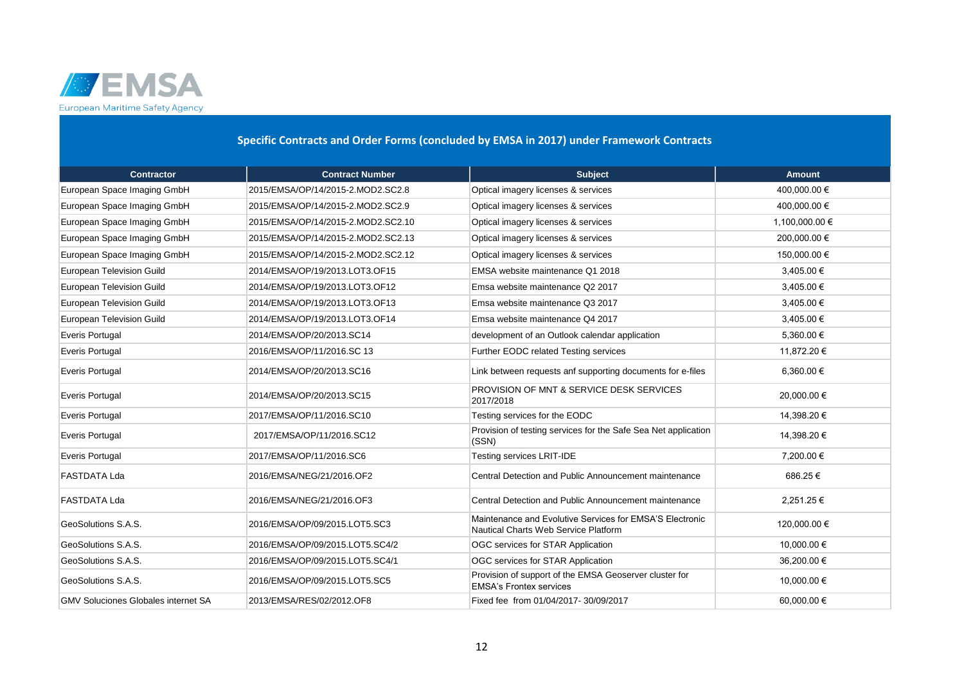

| <b>Contractor</b>                          | <b>Contract Number</b>             | <b>Subject</b>                                                                                   | <b>Amount</b>  |
|--------------------------------------------|------------------------------------|--------------------------------------------------------------------------------------------------|----------------|
| European Space Imaging GmbH                | 2015/EMSA/OP/14/2015-2.MOD2.SC2.8  | Optical imagery licenses & services                                                              | 400,000.00 €   |
| European Space Imaging GmbH                | 2015/EMSA/OP/14/2015-2.MOD2.SC2.9  | Optical imagery licenses & services                                                              | 400,000.00 €   |
| European Space Imaging GmbH                | 2015/EMSA/OP/14/2015-2.MOD2.SC2.10 | Optical imagery licenses & services                                                              | 1,100,000.00 € |
| European Space Imaging GmbH                | 2015/EMSA/OP/14/2015-2.MOD2.SC2.13 | Optical imagery licenses & services                                                              | 200,000.00 €   |
| European Space Imaging GmbH                | 2015/EMSA/OP/14/2015-2.MOD2.SC2.12 | Optical imagery licenses & services                                                              | 150.000.00 €   |
| <b>European Television Guild</b>           | 2014/EMSA/OP/19/2013.LOT3.OF15     | EMSA website maintenance Q1 2018                                                                 | 3.405.00 €     |
| <b>European Television Guild</b>           | 2014/EMSA/OP/19/2013.LOT3.OF12     | Emsa website maintenance Q2 2017                                                                 | 3,405.00 €     |
| <b>European Television Guild</b>           | 2014/EMSA/OP/19/2013.LOT3.OF13     | Emsa website maintenance Q3 2017                                                                 | 3.405.00 €     |
| <b>European Television Guild</b>           | 2014/EMSA/OP/19/2013.LOT3.OF14     | Emsa website maintenance Q4 2017                                                                 | 3,405.00 €     |
| Everis Portugal                            | 2014/EMSA/OP/20/2013.SC14          | development of an Outlook calendar application                                                   | 5,360.00 €     |
| Everis Portugal                            | 2016/EMSA/OP/11/2016.SC 13         | Further EODC related Testing services                                                            | 11,872.20 €    |
| Everis Portugal                            | 2014/EMSA/OP/20/2013.SC16          | Link between requests anf supporting documents for e-files                                       | 6,360.00 €     |
| Everis Portugal                            | 2014/EMSA/OP/20/2013.SC15          | PROVISION OF MNT & SERVICE DESK SERVICES<br>2017/2018                                            | 20.000.00 €    |
| <b>Everis Portugal</b>                     | 2017/EMSA/OP/11/2016.SC10          | Testing services for the EODC                                                                    | 14,398.20 €    |
| Everis Portugal                            | 2017/EMSA/OP/11/2016.SC12          | Provision of testing services for the Safe Sea Net application<br>(SSN)                          | 14,398.20 €    |
| Everis Portugal                            | 2017/EMSA/OP/11/2016.SC6           | Testing services LRIT-IDE                                                                        | 7.200.00 €     |
| <b>FASTDATA Lda</b>                        | 2016/EMSA/NEG/21/2016.OF2          | Central Detection and Public Announcement maintenance                                            | 686.25€        |
| <b>FASTDATA Lda</b>                        | 2016/EMSA/NEG/21/2016.OF3          | Central Detection and Public Announcement maintenance                                            | 2,251.25 €     |
| GeoSolutions S.A.S.                        | 2016/EMSA/OP/09/2015.LOT5.SC3      | Maintenance and Evolutive Services for EMSA'S Electronic<br>Nautical Charts Web Service Platform | 120,000.00 €   |
| GeoSolutions S.A.S.                        | 2016/EMSA/OP/09/2015.LOT5.SC4/2    | OGC services for STAR Application                                                                | 10,000.00 €    |
| GeoSolutions S.A.S.                        | 2016/EMSA/OP/09/2015.LOT5.SC4/1    | OGC services for STAR Application                                                                | 36,200.00 €    |
| GeoSolutions S.A.S.                        | 2016/EMSA/OP/09/2015.LOT5.SC5      | Provision of support of the EMSA Geoserver cluster for<br><b>EMSA's Frontex services</b>         | 10,000.00 €    |
| <b>GMV Soluciones Globales internet SA</b> | 2013/EMSA/RES/02/2012.OF8          | Fixed fee from 01/04/2017-30/09/2017                                                             | 60.000.00 €    |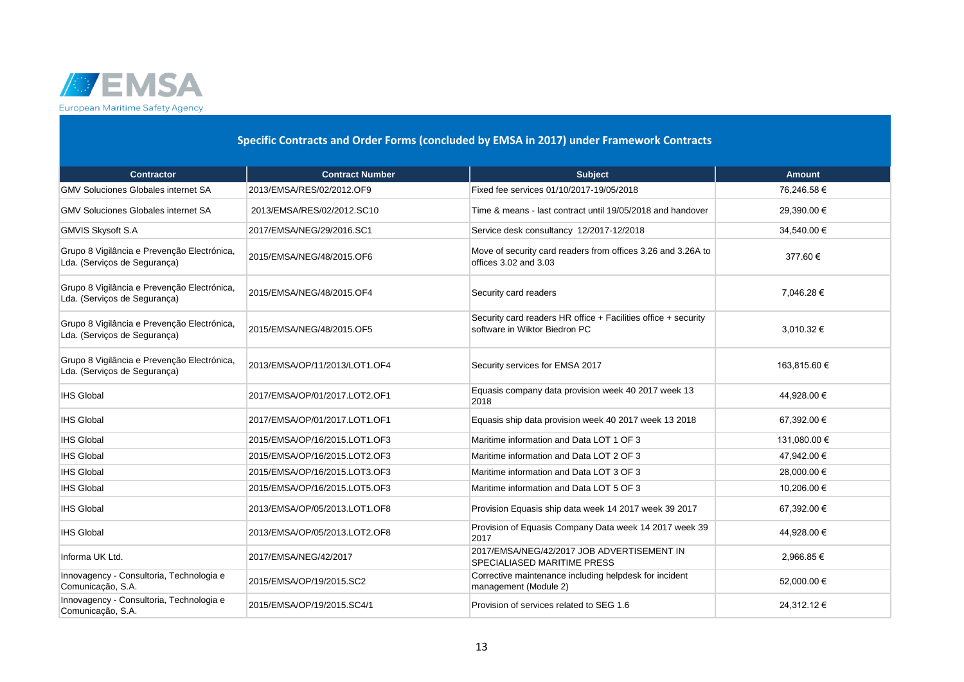

| <b>Contractor</b>                                                           | <b>Contract Number</b>        | <b>Subject</b>                                                                                  | <b>Amount</b> |
|-----------------------------------------------------------------------------|-------------------------------|-------------------------------------------------------------------------------------------------|---------------|
| <b>GMV Soluciones Globales internet SA</b>                                  | 2013/EMSA/RES/02/2012.OF9     | Fixed fee services 01/10/2017-19/05/2018                                                        | 76,246.58 €   |
| <b>GMV Soluciones Globales internet SA</b>                                  | 2013/EMSA/RES/02/2012.SC10    | Time & means - last contract until 19/05/2018 and handover                                      | 29,390.00 €   |
| <b>GMVIS Skysoft S.A</b>                                                    | 2017/EMSA/NEG/29/2016.SC1     | Service desk consultancy 12/2017-12/2018                                                        | 34,540.00 €   |
| Grupo 8 Vigilância e Prevenção Electrónica,<br>Lda. (Serviços de Segurança) | 2015/EMSA/NEG/48/2015.OF6     | Move of security card readers from offices 3.26 and 3.26A to<br>offices 3.02 and 3.03           | 377.60 €      |
| Grupo 8 Vigilância e Prevenção Electrónica,<br>Lda. (Serviços de Segurança) | 2015/EMSA/NEG/48/2015.OF4     | Security card readers                                                                           | 7,046.28 €    |
| Grupo 8 Vigilância e Prevenção Electrónica,<br>Lda. (Serviços de Segurança) | 2015/EMSA/NEG/48/2015.OF5     | Security card readers HR office + Facilities office + security<br>software in Wiktor Biedron PC | 3,010.32 €    |
| Grupo 8 Vigilância e Prevenção Electrónica,<br>Lda. (Serviços de Segurança) | 2013/EMSA/OP/11/2013/LOT1.OF4 | Security services for EMSA 2017                                                                 | 163.815.60 €  |
| <b>IHS Global</b>                                                           | 2017/EMSA/OP/01/2017.LOT2.OF1 | Equasis company data provision week 40 2017 week 13<br>2018                                     | 44,928.00 €   |
| <b>IHS Global</b>                                                           | 2017/EMSA/OP/01/2017.LOT1.OF1 | Equasis ship data provision week 40 2017 week 13 2018                                           | 67,392.00 €   |
| <b>IHS Global</b>                                                           | 2015/EMSA/OP/16/2015.LOT1.OF3 | Maritime information and Data LOT 1 OF 3                                                        | 131,080.00 €  |
| <b>IHS Global</b>                                                           | 2015/EMSA/OP/16/2015.LOT2.OF3 | Maritime information and Data LOT 2 OF 3                                                        | 47,942.00 €   |
| <b>IHS Global</b>                                                           | 2015/EMSA/OP/16/2015.LOT3.OF3 | Maritime information and Data LOT 3 OF 3                                                        | 28,000.00 €   |
| <b>IHS Global</b>                                                           | 2015/EMSA/OP/16/2015.LOT5.OF3 | Maritime information and Data LOT 5 OF 3                                                        | 10,206.00 €   |
| <b>IHS Global</b>                                                           | 2013/EMSA/OP/05/2013.LOT1.OF8 | Provision Equasis ship data week 14 2017 week 39 2017                                           | 67,392.00 €   |
| <b>IHS Global</b>                                                           | 2013/EMSA/OP/05/2013.LOT2.OF8 | Provision of Equasis Company Data week 14 2017 week 39<br>2017                                  | 44,928.00 €   |
| Informa UK Ltd.                                                             | 2017/EMSA/NEG/42/2017         | 2017/EMSA/NEG/42/2017 JOB ADVERTISEMENT IN<br><b>SPECIALIASED MARITIME PRESS</b>                | 2,966.85 €    |
| Innovagency - Consultoria, Technologia e<br>Comunicação, S.A.               | 2015/EMSA/OP/19/2015.SC2      | Corrective maintenance including helpdesk for incident<br>management (Module 2)                 | 52,000.00 €   |
| Innovagency - Consultoria, Technologia e<br>Comunicação, S.A.               | 2015/EMSA/OP/19/2015.SC4/1    | Provision of services related to SEG 1.6                                                        | 24,312.12 €   |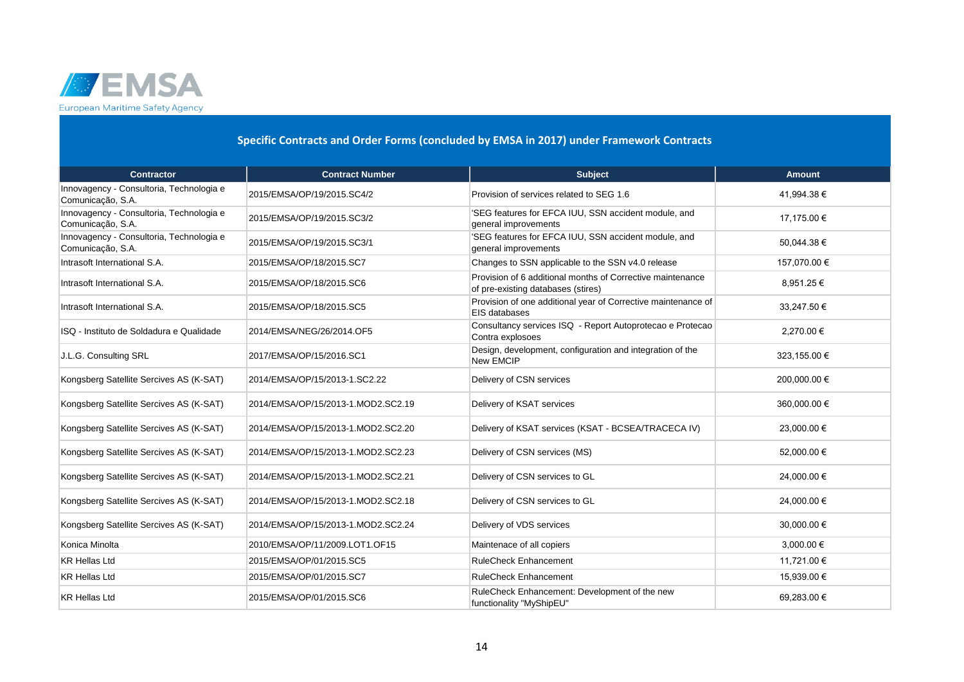

| <b>Contractor</b>                                             | <b>Contract Number</b>             | <b>Subject</b>                                                                                   | <b>Amount</b> |
|---------------------------------------------------------------|------------------------------------|--------------------------------------------------------------------------------------------------|---------------|
| Innovagency - Consultoria, Technologia e<br>Comunicação, S.A. | 2015/EMSA/OP/19/2015.SC4/2         | Provision of services related to SEG 1.6                                                         | 41,994.38 €   |
| Innovagency - Consultoria, Technologia e<br>Comunicação, S.A. | 2015/EMSA/OP/19/2015.SC3/2         | 'SEG features for EFCA IUU, SSN accident module, and<br>general improvements                     | 17,175.00 €   |
| Innovagency - Consultoria, Technologia e<br>Comunicação, S.A. | 2015/EMSA/OP/19/2015.SC3/1         | SEG features for EFCA IUU, SSN accident module, and<br>general improvements                      | 50,044.38 €   |
| Intrasoft International S.A.                                  | 2015/EMSA/OP/18/2015.SC7           | Changes to SSN applicable to the SSN v4.0 release                                                | 157.070.00 €  |
| Intrasoft International S.A.                                  | 2015/EMSA/OP/18/2015.SC6           | Provision of 6 additional months of Corrective maintenance<br>of pre-existing databases (stires) | 8,951.25€     |
| Intrasoft International S.A.                                  | 2015/EMSA/OP/18/2015.SC5           | Provision of one additional year of Corrective maintenance of<br><b>EIS databases</b>            | 33,247.50 €   |
| ISQ - Instituto de Soldadura e Qualidade                      | 2014/EMSA/NEG/26/2014.OF5          | Consultancy services ISQ - Report Autoprotecao e Protecao<br>Contra explosoes                    | 2,270.00 €    |
| J.L.G. Consulting SRL                                         | 2017/EMSA/OP/15/2016.SC1           | Design, development, configuration and integration of the<br><b>New EMCIP</b>                    | 323,155.00 €  |
| Kongsberg Satellite Sercives AS (K-SAT)                       | 2014/EMSA/OP/15/2013-1.SC2.22      | Delivery of CSN services                                                                         | 200,000.00 €  |
| Kongsberg Satellite Sercives AS (K-SAT)                       | 2014/EMSA/OP/15/2013-1.MOD2.SC2.19 | Delivery of KSAT services                                                                        | 360,000.00 €  |
| Kongsberg Satellite Sercives AS (K-SAT)                       | 2014/EMSA/OP/15/2013-1.MOD2.SC2.20 | Delivery of KSAT services (KSAT - BCSEA/TRACECA IV)                                              | 23,000.00 €   |
| Kongsberg Satellite Sercives AS (K-SAT)                       | 2014/EMSA/OP/15/2013-1.MOD2.SC2.23 | Delivery of CSN services (MS)                                                                    | 52,000.00 €   |
| Kongsberg Satellite Sercives AS (K-SAT)                       | 2014/EMSA/OP/15/2013-1.MOD2.SC2.21 | Delivery of CSN services to GL                                                                   | 24,000.00 €   |
| Kongsberg Satellite Sercives AS (K-SAT)                       | 2014/EMSA/OP/15/2013-1.MOD2.SC2.18 | Delivery of CSN services to GL                                                                   | 24,000.00 €   |
| Kongsberg Satellite Sercives AS (K-SAT)                       | 2014/EMSA/OP/15/2013-1.MOD2.SC2.24 | Delivery of VDS services                                                                         | 30,000.00 €   |
| Konica Minolta                                                | 2010/EMSA/OP/11/2009.LOT1.OF15     | Maintenace of all copiers                                                                        | 3,000.00 €    |
| <b>KR Hellas Ltd</b>                                          | 2015/EMSA/OP/01/2015.SC5           | <b>RuleCheck Enhancement</b>                                                                     | 11,721.00 €   |
| <b>KR Hellas Ltd</b>                                          | 2015/EMSA/OP/01/2015.SC7           | <b>RuleCheck Enhancement</b>                                                                     | 15,939.00 €   |
| <b>KR Hellas Ltd</b>                                          | 2015/EMSA/OP/01/2015.SC6           | RuleCheck Enhancement: Development of the new<br>functionality "MyShipEU"                        | 69,283.00 €   |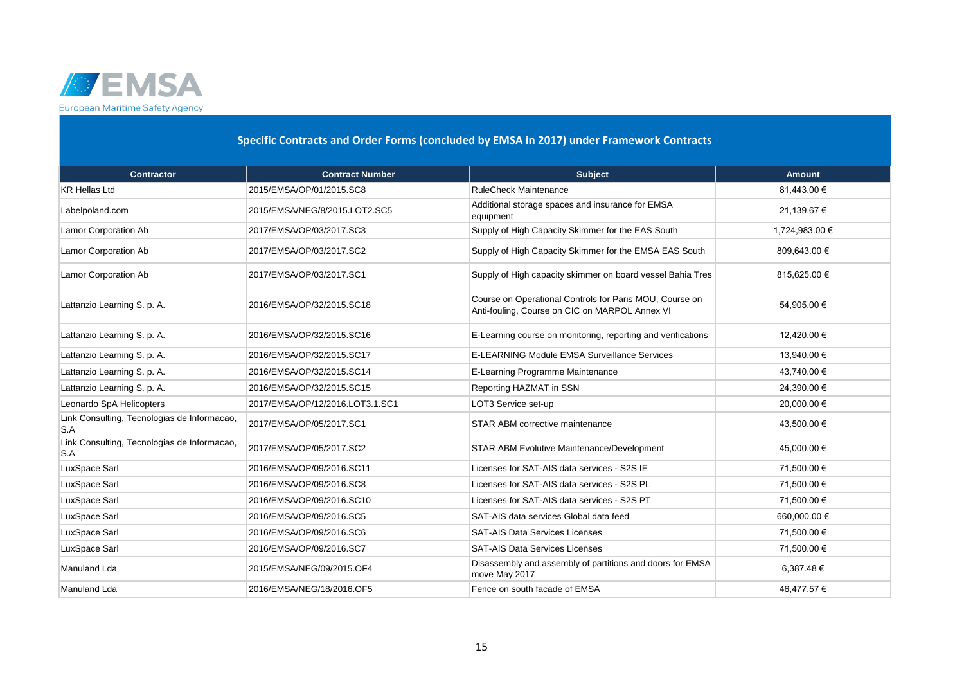

| <b>Contractor</b>                                  | <b>Contract Number</b>          | <b>Subject</b>                                                                                            | <b>Amount</b>  |
|----------------------------------------------------|---------------------------------|-----------------------------------------------------------------------------------------------------------|----------------|
| KR Hellas Ltd                                      | 2015/EMSA/OP/01/2015.SC8        | <b>RuleCheck Maintenance</b>                                                                              | 81,443.00 €    |
| Labelpoland.com                                    | 2015/EMSA/NEG/8/2015.LOT2.SC5   | Additional storage spaces and insurance for EMSA<br>equipment                                             | 21,139.67 €    |
| Lamor Corporation Ab                               | 2017/EMSA/OP/03/2017.SC3        | Supply of High Capacity Skimmer for the EAS South                                                         | 1,724,983.00 € |
| <b>Lamor Corporation Ab</b>                        | 2017/EMSA/OP/03/2017.SC2        | Supply of High Capacity Skimmer for the EMSA EAS South                                                    | 809,643.00 €   |
| <b>Lamor Corporation Ab</b>                        | 2017/EMSA/OP/03/2017.SC1        | Supply of High capacity skimmer on board vessel Bahia Tres                                                | 815,625.00 €   |
| Lattanzio Learning S. p. A.                        | 2016/EMSA/OP/32/2015.SC18       | Course on Operational Controls for Paris MOU, Course on<br>Anti-fouling, Course on CIC on MARPOL Annex VI | 54,905.00 €    |
| Lattanzio Learning S. p. A.                        | 2016/EMSA/OP/32/2015.SC16       | E-Learning course on monitoring, reporting and verifications                                              | 12,420.00 €    |
| Lattanzio Learning S. p. A.                        | 2016/EMSA/OP/32/2015.SC17       | E-LEARNING Module EMSA Surveillance Services                                                              | 13,940.00 €    |
| Lattanzio Learning S. p. A.                        | 2016/EMSA/OP/32/2015.SC14       | E-Learning Programme Maintenance                                                                          | 43,740.00 €    |
| Lattanzio Learning S. p. A.                        | 2016/EMSA/OP/32/2015.SC15       | Reporting HAZMAT in SSN                                                                                   | 24,390.00 €    |
| Leonardo SpA Helicopters                           | 2017/EMSA/OP/12/2016.LOT3.1.SC1 | LOT3 Service set-up                                                                                       | 20,000.00 €    |
| Link Consulting, Tecnologias de Informacao,<br>S.A | 2017/EMSA/OP/05/2017.SC1        | STAR ABM corrective maintenance                                                                           | 43,500.00 €    |
| Link Consulting, Tecnologias de Informacao,<br>S.A | 2017/EMSA/OP/05/2017.SC2        | STAR ABM Evolutive Maintenance/Development                                                                | 45.000.00 €    |
| LuxSpace Sarl                                      | 2016/EMSA/OP/09/2016.SC11       | Licenses for SAT-AIS data services - S2S IE                                                               | 71,500.00 €    |
| LuxSpace Sarl                                      | 2016/EMSA/OP/09/2016.SC8        | Licenses for SAT-AIS data services - S2S PL                                                               | 71,500.00 €    |
| LuxSpace Sarl                                      | 2016/EMSA/OP/09/2016.SC10       | Licenses for SAT-AIS data services - S2S PT                                                               | 71,500.00 €    |
| LuxSpace Sarl                                      | 2016/EMSA/OP/09/2016.SC5        | SAT-AIS data services Global data feed                                                                    | 660,000.00 €   |
| LuxSpace Sarl                                      | 2016/EMSA/OP/09/2016.SC6        | <b>SAT-AIS Data Services Licenses</b>                                                                     | 71.500.00 €    |
| LuxSpace Sarl                                      | 2016/EMSA/OP/09/2016.SC7        | <b>SAT-AIS Data Services Licenses</b>                                                                     | 71,500.00 €    |
| Manuland Lda                                       | 2015/EMSA/NEG/09/2015.OF4       | Disassembly and assembly of partitions and doors for EMSA<br>move May 2017                                | 6,387.48€      |
| Manuland Lda                                       | 2016/EMSA/NEG/18/2016.OF5       | Fence on south facade of EMSA                                                                             | 46,477.57 €    |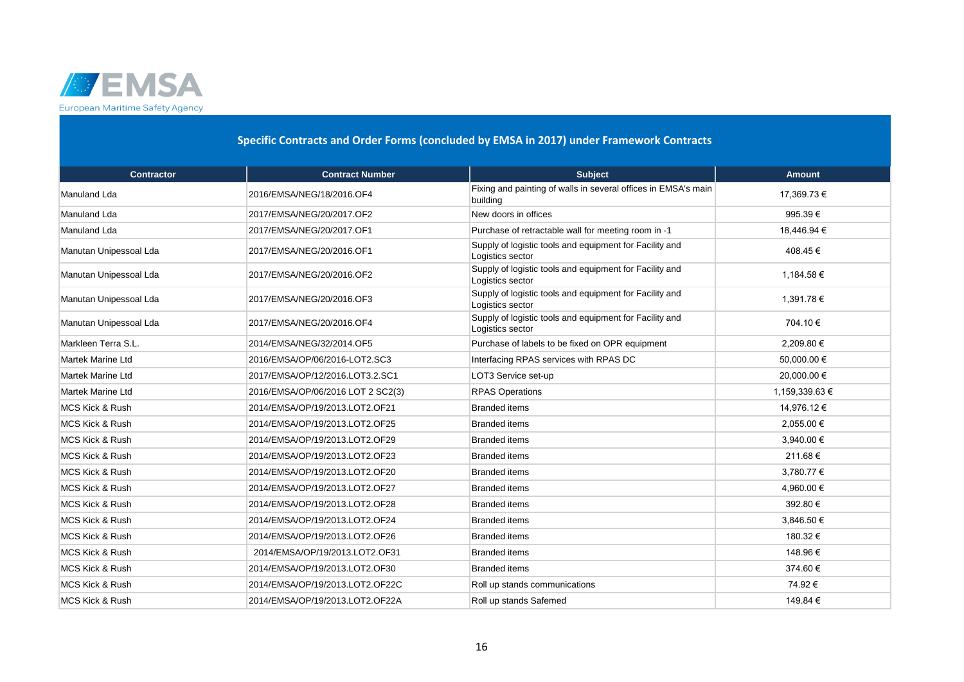

| <b>Contractor</b>          | <b>Contract Number</b>            | <b>Subject</b>                                                              | <b>Amount</b>  |
|----------------------------|-----------------------------------|-----------------------------------------------------------------------------|----------------|
| Manuland Lda               | 2016/EMSA/NEG/18/2016.OF4         | Fixing and painting of walls in several offices in EMSA's main<br>building  | 17,369.73 €    |
| <b>Manuland Lda</b>        | 2017/EMSA/NEG/20/2017.OF2         | New doors in offices                                                        | 995.39€        |
| Manuland Lda               | 2017/EMSA/NEG/20/2017.OF1         | Purchase of retractable wall for meeting room in -1                         | 18,446.94 €    |
| Manutan Unipessoal Lda     | 2017/EMSA/NEG/20/2016.OF1         | Supply of logistic tools and equipment for Facility and<br>Logistics sector | 408.45€        |
| Manutan Unipessoal Lda     | 2017/EMSA/NEG/20/2016.OF2         | Supply of logistic tools and equipment for Facility and<br>Logistics sector | 1,184.58 €     |
| Manutan Unipessoal Lda     | 2017/EMSA/NEG/20/2016.OF3         | Supply of logistic tools and equipment for Facility and<br>Logistics sector | 1,391.78 €     |
| Manutan Unipessoal Lda     | 2017/EMSA/NEG/20/2016.OF4         | Supply of logistic tools and equipment for Facility and<br>Logistics sector | 704.10 €       |
| Markleen Terra S.L.        | 2014/EMSA/NEG/32/2014.OF5         | Purchase of labels to be fixed on OPR equipment                             | 2,209.80 €     |
| <b>Martek Marine Ltd</b>   | 2016/EMSA/OP/06/2016-LOT2.SC3     | Interfacing RPAS services with RPAS DC                                      | 50,000.00 €    |
| <b>Martek Marine Ltd</b>   | 2017/EMSA/OP/12/2016.LOT3.2.SC1   | LOT3 Service set-up                                                         | 20,000.00 €    |
| <b>Martek Marine Ltd</b>   | 2016/EMSA/OP/06/2016 LOT 2 SC2(3) | <b>RPAS Operations</b>                                                      | 1,159,339.63 € |
| MCS Kick & Rush            | 2014/EMSA/OP/19/2013.LOT2.OF21    | <b>Branded</b> items                                                        | 14.976.12 €    |
| MCS Kick & Rush            | 2014/EMSA/OP/19/2013.LOT2.OF25    | <b>Branded items</b>                                                        | 2.055.00 €     |
| <b>MCS Kick &amp; Rush</b> | 2014/EMSA/OP/19/2013.LOT2.OF29    | <b>Branded</b> items                                                        | 3,940.00 €     |
| MCS Kick & Rush            | 2014/EMSA/OP/19/2013.LOT2.OF23    | <b>Branded items</b>                                                        | 211.68€        |
| MCS Kick & Rush            | 2014/EMSA/OP/19/2013.LOT2.OF20    | <b>Branded items</b>                                                        | 3,780.77 €     |
| MCS Kick & Rush            | 2014/EMSA/OP/19/2013.LOT2.OF27    | <b>Branded</b> items                                                        | 4,960.00 €     |
| MCS Kick & Rush            | 2014/EMSA/OP/19/2013.LOT2.OF28    | <b>Branded items</b>                                                        | 392.80 €       |
| MCS Kick & Rush            | 2014/EMSA/OP/19/2013.LOT2.OF24    | <b>Branded items</b>                                                        | 3,846.50 €     |
| <b>MCS Kick &amp; Rush</b> | 2014/EMSA/OP/19/2013.LOT2.OF26    | <b>Branded items</b>                                                        | 180.32 €       |
| MCS Kick & Rush            | 2014/EMSA/OP/19/2013.LOT2.OF31    | <b>Branded</b> items                                                        | 148.96 €       |
| MCS Kick & Rush            | 2014/EMSA/OP/19/2013.LOT2.OF30    | <b>Branded items</b>                                                        | 374.60 €       |
| MCS Kick & Rush            | 2014/EMSA/OP/19/2013.LOT2.OF22C   | Roll up stands communications                                               | 74.92 €        |
| MCS Kick & Rush            | 2014/EMSA/OP/19/2013.LOT2.OF22A   | Roll up stands Safemed                                                      | 149.84 €       |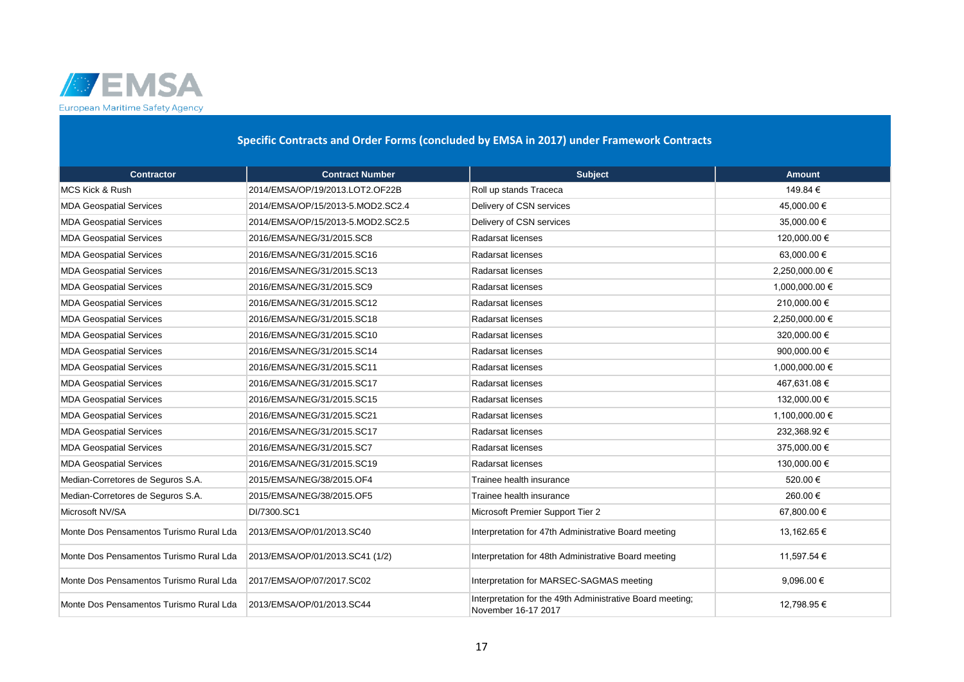

| <b>Contractor</b>                       | <b>Contract Number</b>            | <b>Subject</b>                                                                   | <b>Amount</b>  |
|-----------------------------------------|-----------------------------------|----------------------------------------------------------------------------------|----------------|
| <b>MCS Kick &amp; Rush</b>              | 2014/EMSA/OP/19/2013.LOT2.OF22B   | Roll up stands Traceca                                                           | 149.84 €       |
| <b>MDA Geospatial Services</b>          | 2014/EMSA/OP/15/2013-5.MOD2.SC2.4 | Delivery of CSN services                                                         | 45,000.00 €    |
| <b>MDA Geospatial Services</b>          | 2014/EMSA/OP/15/2013-5.MOD2.SC2.5 | Delivery of CSN services                                                         | 35,000.00 €    |
| <b>MDA Geospatial Services</b>          | 2016/EMSA/NEG/31/2015.SC8         | Radarsat licenses                                                                | 120.000.00 €   |
| <b>MDA Geospatial Services</b>          | 2016/EMSA/NEG/31/2015.SC16        | Radarsat licenses                                                                | 63,000.00 €    |
| <b>MDA Geospatial Services</b>          | 2016/EMSA/NEG/31/2015.SC13        | <b>Radarsat licenses</b>                                                         | 2,250,000.00 € |
| <b>MDA Geospatial Services</b>          | 2016/EMSA/NEG/31/2015.SC9         | Radarsat licenses                                                                | 1,000,000.00 € |
| <b>MDA Geospatial Services</b>          | 2016/EMSA/NEG/31/2015.SC12        | Radarsat licenses                                                                | 210.000.00 €   |
| <b>MDA Geospatial Services</b>          | 2016/EMSA/NEG/31/2015.SC18        | <b>Radarsat licenses</b>                                                         | 2,250,000.00 € |
| <b>MDA Geospatial Services</b>          | 2016/EMSA/NEG/31/2015.SC10        | Radarsat licenses                                                                | 320,000.00 €   |
| <b>MDA Geospatial Services</b>          | 2016/EMSA/NEG/31/2015.SC14        | Radarsat licenses                                                                | 900,000.00 €   |
| <b>MDA Geospatial Services</b>          | 2016/EMSA/NEG/31/2015.SC11        | Radarsat licenses                                                                | 1,000,000.00 € |
| <b>MDA Geospatial Services</b>          | 2016/EMSA/NEG/31/2015.SC17        | Radarsat licenses                                                                | 467,631.08€    |
| <b>MDA Geospatial Services</b>          | 2016/EMSA/NEG/31/2015.SC15        | Radarsat licenses                                                                | 132,000.00 €   |
| <b>MDA Geospatial Services</b>          | 2016/EMSA/NEG/31/2015.SC21        | Radarsat licenses                                                                | 1,100,000.00 € |
| <b>MDA Geospatial Services</b>          | 2016/EMSA/NEG/31/2015.SC17        | Radarsat licenses                                                                | 232,368.92 €   |
| <b>MDA Geospatial Services</b>          | 2016/EMSA/NEG/31/2015.SC7         | Radarsat licenses                                                                | 375,000.00 €   |
| <b>MDA Geospatial Services</b>          | 2016/EMSA/NEG/31/2015.SC19        | Radarsat licenses                                                                | 130,000.00 €   |
| Median-Corretores de Seguros S.A.       | 2015/EMSA/NEG/38/2015.OF4         | Trainee health insurance                                                         | 520.00 €       |
| Median-Corretores de Seguros S.A.       | 2015/EMSA/NEG/38/2015.OF5         | Trainee health insurance                                                         | 260.00 €       |
| Microsoft NV/SA                         | DI/7300.SC1                       | Microsoft Premier Support Tier 2                                                 | 67,800.00 €    |
| Monte Dos Pensamentos Turismo Rural Lda | 2013/EMSA/OP/01/2013.SC40         | Interpretation for 47th Administrative Board meeting                             | 13,162.65 €    |
| Monte Dos Pensamentos Turismo Rural Lda | 2013/EMSA/OP/01/2013.SC41 (1/2)   | Interpretation for 48th Administrative Board meeting                             | 11,597.54 €    |
| Monte Dos Pensamentos Turismo Rural Lda | 2017/EMSA/OP/07/2017.SC02         | Interpretation for MARSEC-SAGMAS meeting                                         | 9,096.00 $\in$ |
| Monte Dos Pensamentos Turismo Rural Lda | 2013/EMSA/OP/01/2013.SC44         | Interpretation for the 49th Administrative Board meeting;<br>November 16-17 2017 | 12,798.95 €    |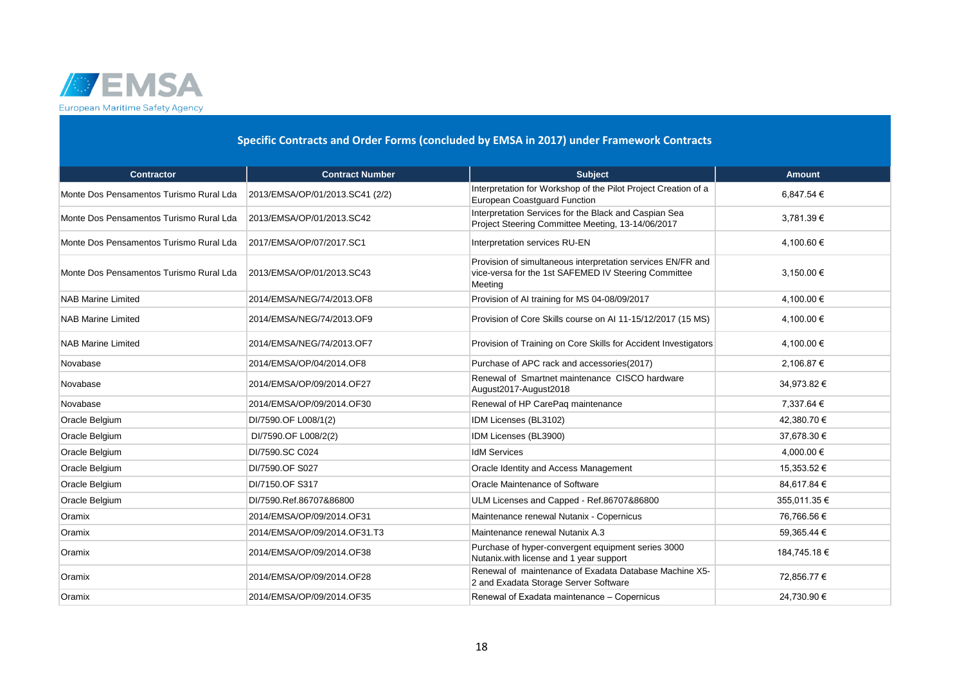

| <b>Contractor</b>                       | <b>Contract Number</b>          | <b>Subject</b>                                                                                                                 | <b>Amount</b> |
|-----------------------------------------|---------------------------------|--------------------------------------------------------------------------------------------------------------------------------|---------------|
| Monte Dos Pensamentos Turismo Rural Lda | 2013/EMSA/OP/01/2013.SC41 (2/2) | Interpretation for Workshop of the Pilot Project Creation of a<br><b>European Coastguard Function</b>                          | 6,847.54 €    |
| Monte Dos Pensamentos Turismo Rural Lda | 2013/EMSA/OP/01/2013.SC42       | Interpretation Services for the Black and Caspian Sea<br>Project Steering Committee Meeting, 13-14/06/2017                     | 3,781.39€     |
| Monte Dos Pensamentos Turismo Rural Lda | 2017/EMSA/OP/07/2017.SC1        | Interpretation services RU-EN                                                                                                  | 4,100.60 €    |
| Monte Dos Pensamentos Turismo Rural Lda | 2013/EMSA/OP/01/2013.SC43       | Provision of simultaneous interpretation services EN/FR and<br>vice-versa for the 1st SAFEMED IV Steering Committee<br>Meeting | 3,150.00 €    |
| <b>NAB Marine Limited</b>               | 2014/EMSA/NEG/74/2013.OF8       | Provision of AI training for MS 04-08/09/2017                                                                                  | 4,100.00 €    |
| <b>NAB Marine Limited</b>               | 2014/EMSA/NEG/74/2013.OF9       | Provision of Core Skills course on AI 11-15/12/2017 (15 MS)                                                                    | 4,100.00 €    |
| <b>NAB Marine Limited</b>               | 2014/EMSA/NEG/74/2013.OF7       | Provision of Training on Core Skills for Accident Investigators                                                                | 4,100.00 €    |
| Novabase                                | 2014/EMSA/OP/04/2014.OF8        | Purchase of APC rack and accessories(2017)                                                                                     | 2,106.87 €    |
| Novabase                                | 2014/EMSA/OP/09/2014.OF27       | Renewal of Smartnet maintenance CISCO hardware<br>August2017-August2018                                                        | 34,973.82 €   |
| Novabase                                | 2014/EMSA/OP/09/2014.OF30       | Renewal of HP CarePag maintenance                                                                                              | 7.337.64 €    |
| Oracle Belgium                          | DI/7590.OF L008/1(2)            | IDM Licenses (BL3102)                                                                                                          | 42,380.70 €   |
| Oracle Belgium                          | DI/7590.OF L008/2(2)            | IDM Licenses (BL3900)                                                                                                          | 37,678.30 €   |
| Oracle Belgium                          | DI/7590.SC C024                 | <b>IdM Services</b>                                                                                                            | 4,000.00 €    |
| Oracle Belgium                          | DI/7590.OF S027                 | Oracle Identity and Access Management                                                                                          | 15,353.52 €   |
| Oracle Belgium                          | DI/7150.OF S317                 | Oracle Maintenance of Software                                                                                                 | 84.617.84 €   |
| Oracle Belgium                          | DI/7590.Ref.86707&86800         | ULM Licenses and Capped - Ref.86707&86800                                                                                      | 355.011.35 €  |
| Oramix                                  | 2014/EMSA/OP/09/2014.OF31       | Maintenance renewal Nutanix - Copernicus                                                                                       | 76,766.56 €   |
| Oramix                                  | 2014/EMSA/OP/09/2014.OF31.T3    | Maintenance renewal Nutanix A.3                                                                                                | 59,365.44 €   |
| Oramix                                  | 2014/EMSA/OP/09/2014.OF38       | Purchase of hyper-convergent equipment series 3000<br>Nutanix.with license and 1 year support                                  | 184,745.18 €  |
| Oramix                                  | 2014/EMSA/OP/09/2014.OF28       | Renewal of maintenance of Exadata Database Machine X5-<br>2 and Exadata Storage Server Software                                | 72,856.77 €   |
| Oramix                                  | 2014/EMSA/OP/09/2014.OF35       | Renewal of Exadata maintenance - Copernicus                                                                                    | 24,730.90 €   |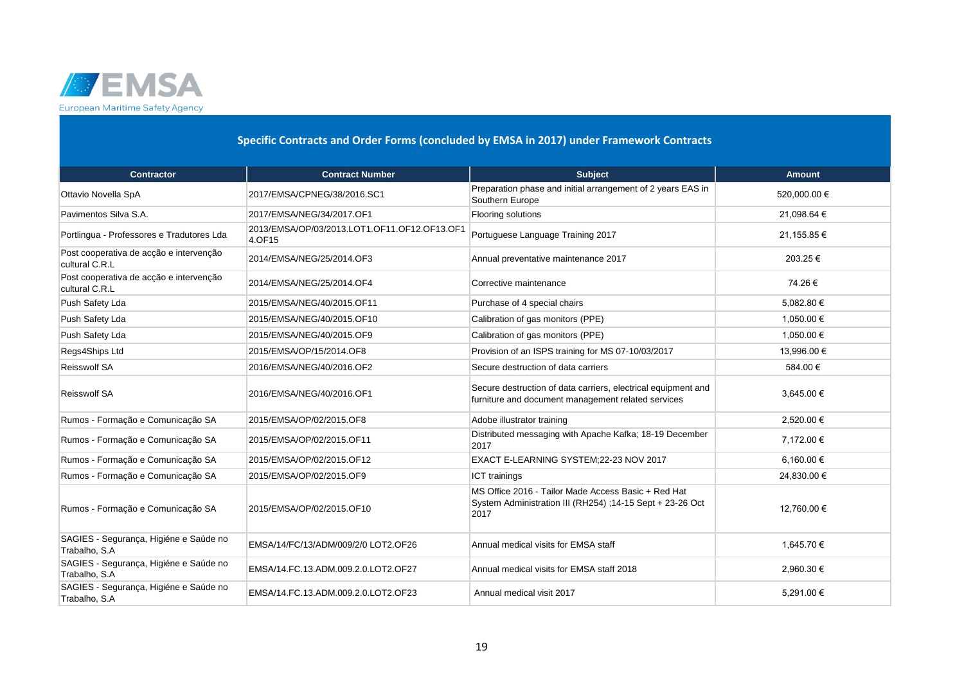

| <b>Contractor</b>                                         | <b>Contract Number</b>                                 | <b>Subject</b>                                                                                                            | <b>Amount</b> |
|-----------------------------------------------------------|--------------------------------------------------------|---------------------------------------------------------------------------------------------------------------------------|---------------|
| Ottavio Novella SpA                                       | 2017/EMSA/CPNEG/38/2016.SC1                            | Preparation phase and initial arrangement of 2 years EAS in<br>Southern Europe                                            | 520.000.00 €  |
| Pavimentos Silva S.A.                                     | 2017/EMSA/NEG/34/2017.OF1                              | Flooring solutions                                                                                                        | 21,098.64 €   |
| Portlingua - Professores e Tradutores Lda                 | 2013/EMSA/OP/03/2013.LOT1.OF11.OF12.OF13.OF1<br>4.OF15 | Portuguese Language Training 2017                                                                                         | 21,155.85 €   |
| Post cooperativa de acção e intervenção<br>cultural C.R.L | 2014/EMSA/NEG/25/2014.OF3                              | Annual preventative maintenance 2017                                                                                      | 203.25 €      |
| Post cooperativa de acção e intervenção<br>cultural C.R.L | 2014/EMSA/NEG/25/2014.OF4                              | Corrective maintenance                                                                                                    | 74.26€        |
| Push Safety Lda                                           | 2015/EMSA/NEG/40/2015.OF11                             | Purchase of 4 special chairs                                                                                              | 5,082.80 €    |
| Push Safety Lda                                           | 2015/EMSA/NEG/40/2015.OF10                             | Calibration of gas monitors (PPE)                                                                                         | 1.050.00 €    |
| Push Safety Lda                                           | 2015/EMSA/NEG/40/2015.OF9                              | Calibration of gas monitors (PPE)                                                                                         | 1,050.00 €    |
| Regs4Ships Ltd                                            | 2015/EMSA/OP/15/2014.OF8                               | Provision of an ISPS training for MS 07-10/03/2017                                                                        | 13,996.00 €   |
| <b>Reisswolf SA</b>                                       | 2016/EMSA/NEG/40/2016.OF2                              | Secure destruction of data carriers                                                                                       | 584.00 €      |
| <b>Reisswolf SA</b>                                       | 2016/EMSA/NEG/40/2016.OF1                              | Secure destruction of data carriers, electrical equipment and<br>furniture and document management related services       | 3,645.00 €    |
| Rumos - Formação e Comunicação SA                         | 2015/EMSA/OP/02/2015.OF8                               | Adobe illustrator training                                                                                                | 2.520.00 €    |
| Rumos - Formação e Comunicação SA                         | 2015/EMSA/OP/02/2015.OF11                              | Distributed messaging with Apache Kafka; 18-19 December<br>2017                                                           | 7,172.00 €    |
| Rumos - Formação e Comunicação SA                         | 2015/EMSA/OP/02/2015.OF12                              | EXACT E-LEARNING SYSTEM;22-23 NOV 2017                                                                                    | 6,160.00 €    |
| Rumos - Formação e Comunicação SA                         | 2015/EMSA/OP/02/2015.OF9                               | <b>ICT</b> trainings                                                                                                      | 24,830.00 €   |
| Rumos - Formação e Comunicação SA                         | 2015/EMSA/OP/02/2015.OF10                              | MS Office 2016 - Tailor Made Access Basic + Red Hat<br>System Administration III (RH254) ; 14-15 Sept + 23-26 Oct<br>2017 | 12,760.00 €   |
| SAGIES - Segurança, Higiéne e Saúde no<br>Trabalho, S.A   | EMSA/14/FC/13/ADM/009/2/0 LOT2.OF26                    | Annual medical visits for EMSA staff                                                                                      | 1,645.70 €    |
| SAGIES - Segurança, Higiéne e Saúde no<br>Trabalho, S.A   | EMSA/14.FC.13.ADM.009.2.0.LOT2.OF27                    | Annual medical visits for EMSA staff 2018                                                                                 | 2,960.30 €    |
| SAGIES - Segurança, Higiéne e Saúde no<br>Trabalho, S.A   | EMSA/14.FC.13.ADM.009.2.0.LOT2.OF23                    | Annual medical visit 2017                                                                                                 | 5,291.00 €    |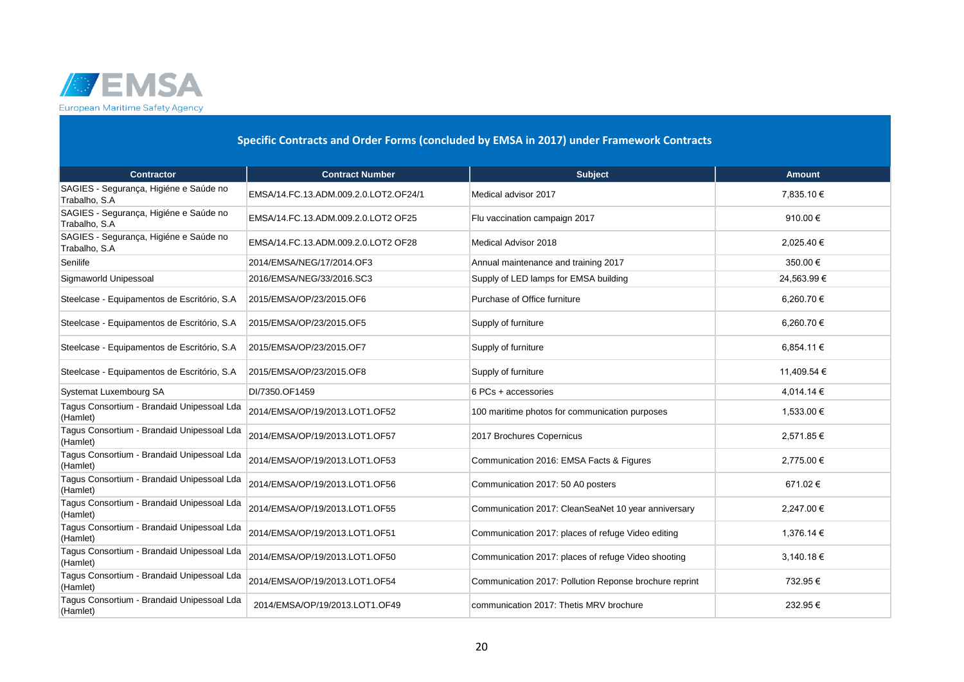

| <b>Contractor</b>                                       | <b>Contract Number</b>                | <b>Subject</b>                                         | <b>Amount</b>  |
|---------------------------------------------------------|---------------------------------------|--------------------------------------------------------|----------------|
| SAGIES - Segurança, Higiéne e Saúde no<br>Trabalho, S.A | EMSA/14.FC.13.ADM.009.2.0.LOT2.OF24/1 | Medical advisor 2017                                   | 7.835.10 €     |
| SAGIES - Segurança, Higiéne e Saúde no<br>Trabalho, S.A | EMSA/14.FC.13.ADM.009.2.0.LOT2 OF25   | Flu vaccination campaign 2017                          | 910.00 €       |
| SAGIES - Segurança, Higiéne e Saúde no<br>Trabalho, S.A | EMSA/14.FC.13.ADM.009.2.0.LOT2 OF28   | Medical Advisor 2018                                   | 2,025.40 €     |
| Senilife                                                | 2014/EMSA/NEG/17/2014.OF3             | Annual maintenance and training 2017                   | 350.00€        |
| Sigmaworld Unipessoal                                   | 2016/EMSA/NEG/33/2016.SC3             | Supply of LED lamps for EMSA building                  | 24,563.99€     |
| Steelcase - Equipamentos de Escritório, S.A             | 2015/EMSA/OP/23/2015.OF6              | Purchase of Office furniture                           | 6,260.70 €     |
| Steelcase - Equipamentos de Escritório, S.A             | 2015/EMSA/OP/23/2015.OF5              | Supply of furniture                                    | 6,260.70 €     |
| Steelcase - Equipamentos de Escritório, S.A             | 2015/EMSA/OP/23/2015.OF7              | Supply of furniture                                    | $6.854.11 \in$ |
| Steelcase - Equipamentos de Escritório, S.A             | 2015/EMSA/OP/23/2015.OF8              | Supply of furniture                                    | 11,409.54 €    |
| Systemat Luxembourg SA                                  | DI/7350.OF1459                        | 6 PCs + accessories                                    | 4.014.14 €     |
| Tagus Consortium - Brandaid Unipessoal Lda<br>(Hamlet)  | 2014/EMSA/OP/19/2013.LOT1.OF52        | 100 maritime photos for communication purposes         | 1,533.00 €     |
| Tagus Consortium - Brandaid Unipessoal Lda<br>(Hamlet)  | 2014/EMSA/OP/19/2013.LOT1.OF57        | 2017 Brochures Copernicus                              | 2,571.85 €     |
| Tagus Consortium - Brandaid Unipessoal Lda<br>(Hamlet)  | 2014/EMSA/OP/19/2013.LOT1.OF53        | Communication 2016: EMSA Facts & Figures               | 2,775.00 €     |
| Tagus Consortium - Brandaid Unipessoal Lda<br>(Hamlet)  | 2014/EMSA/OP/19/2013.LOT1.OF56        | Communication 2017: 50 A0 posters                      | 671.02€        |
| Tagus Consortium - Brandaid Unipessoal Lda<br>(Hamlet)  | 2014/EMSA/OP/19/2013.LOT1.OF55        | Communication 2017: CleanSeaNet 10 year anniversary    | 2,247.00 €     |
| Tagus Consortium - Brandaid Unipessoal Lda<br>(Hamlet)  | 2014/EMSA/OP/19/2013.LOT1.OF51        | Communication 2017: places of refuge Video editing     | 1,376.14 €     |
| Tagus Consortium - Brandaid Unipessoal Lda<br>(Hamlet)  | 2014/EMSA/OP/19/2013.LOT1.OF50        | Communication 2017: places of refuge Video shooting    | $3,140.18 \in$ |
| Tagus Consortium - Brandaid Unipessoal Lda<br>(Hamlet)  | 2014/EMSA/OP/19/2013.LOT1.OF54        | Communication 2017: Pollution Reponse brochure reprint | 732.95€        |
| Tagus Consortium - Brandaid Unipessoal Lda<br>(Hamlet)  | 2014/EMSA/OP/19/2013.LOT1.OF49        | communication 2017: Thetis MRV brochure                | 232.95€        |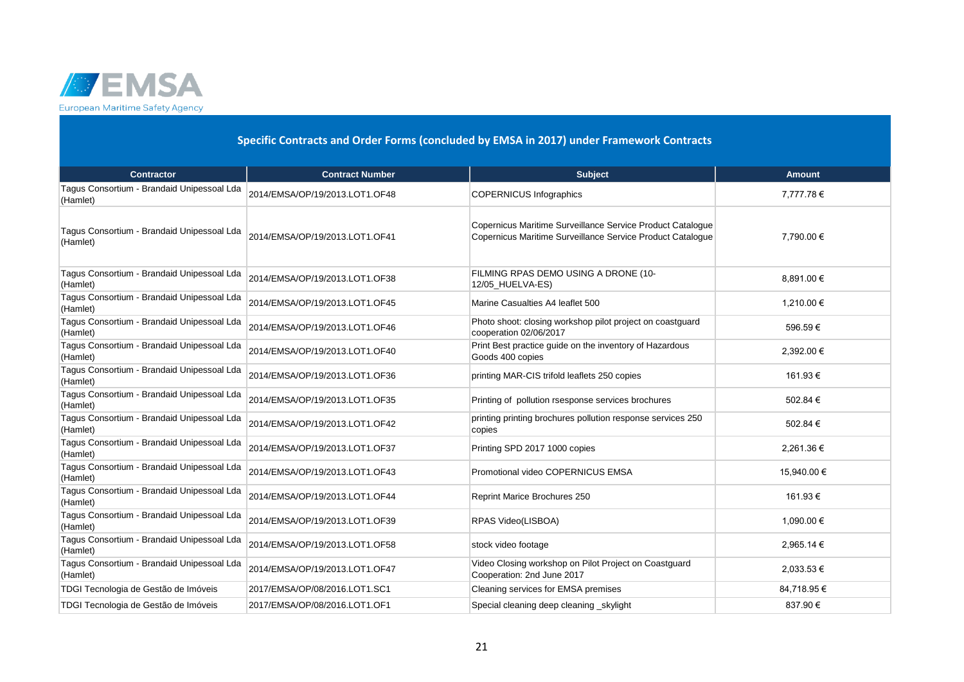

| <b>Contractor</b>                                      | <b>Contract Number</b>         | <b>Subject</b>                                                                                                           | <b>Amount</b> |
|--------------------------------------------------------|--------------------------------|--------------------------------------------------------------------------------------------------------------------------|---------------|
| Tagus Consortium - Brandaid Unipessoal Lda<br>(Hamlet) | 2014/EMSA/OP/19/2013.LOT1.OF48 | <b>COPERNICUS Infographics</b>                                                                                           | 7,777.78€     |
| Tagus Consortium - Brandaid Unipessoal Lda<br>(Hamlet) | 2014/EMSA/OP/19/2013.LOT1.OF41 | Copernicus Maritime Surveillance Service Product Catalogue<br>Copernicus Maritime Surveillance Service Product Catalogue | 7,790.00 €    |
| Tagus Consortium - Brandaid Unipessoal Lda<br>(Hamlet) | 2014/EMSA/OP/19/2013.LOT1.OF38 | FILMING RPAS DEMO USING A DRONE (10-<br>12/05 HUELVA-ES)                                                                 | 8,891.00 €    |
| Tagus Consortium - Brandaid Unipessoal Lda<br>(Hamlet) | 2014/EMSA/OP/19/2013.LOT1.OF45 | Marine Casualties A4 leaflet 500                                                                                         | 1,210.00 €    |
| Tagus Consortium - Brandaid Unipessoal Lda<br>(Hamlet) | 2014/EMSA/OP/19/2013.LOT1.OF46 | Photo shoot: closing workshop pilot project on coastguard<br>cooperation 02/06/2017                                      | 596.59€       |
| Tagus Consortium - Brandaid Unipessoal Lda<br>(Hamlet) | 2014/EMSA/OP/19/2013.LOT1.OF40 | Print Best practice guide on the inventory of Hazardous<br>Goods 400 copies                                              | 2,392.00 €    |
| Tagus Consortium - Brandaid Unipessoal Lda<br>(Hamlet) | 2014/EMSA/OP/19/2013.LOT1.OF36 | printing MAR-CIS trifold leaflets 250 copies                                                                             | 161.93 €      |
| Tagus Consortium - Brandaid Unipessoal Lda<br>(Hamlet) | 2014/EMSA/OP/19/2013.LOT1.OF35 | Printing of pollution rsesponse services brochures                                                                       | 502.84 €      |
| Tagus Consortium - Brandaid Unipessoal Lda<br>(Hamlet) | 2014/EMSA/OP/19/2013.LOT1.OF42 | printing printing brochures pollution response services 250<br>copies                                                    | 502.84 €      |
| Tagus Consortium - Brandaid Unipessoal Lda<br>(Hamlet) | 2014/EMSA/OP/19/2013.LOT1.OF37 | Printing SPD 2017 1000 copies                                                                                            | 2,261.36 €    |
| Tagus Consortium - Brandaid Unipessoal Lda<br>(Hamlet) | 2014/EMSA/OP/19/2013.LOT1.OF43 | Promotional video COPERNICUS EMSA                                                                                        | 15,940.00 €   |
| Tagus Consortium - Brandaid Unipessoal Lda<br>(Hamlet) | 2014/EMSA/OP/19/2013.LOT1.OF44 | Reprint Marice Brochures 250                                                                                             | 161.93€       |
| Tagus Consortium - Brandaid Unipessoal Lda<br>(Hamlet) | 2014/EMSA/OP/19/2013.LOT1.OF39 | RPAS Video(LISBOA)                                                                                                       | 1,090.00 €    |
| Tagus Consortium - Brandaid Unipessoal Lda<br>(Hamlet) | 2014/EMSA/OP/19/2013.LOT1.OF58 | stock video footage                                                                                                      | 2,965.14 €    |
| Tagus Consortium - Brandaid Unipessoal Lda<br>(Hamlet) | 2014/EMSA/OP/19/2013.LOT1.OF47 | Video Closing workshop on Pilot Project on Coastguard<br>Cooperation: 2nd June 2017                                      | 2,033.53 €    |
| TDGI Tecnologia de Gestão de Imóveis                   | 2017/EMSA/OP/08/2016.LOT1.SC1  | Cleaning services for EMSA premises                                                                                      | 84,718.95 €   |
| TDGI Tecnologia de Gestão de Imóveis                   | 2017/EMSA/OP/08/2016.LOT1.OF1  | Special cleaning deep cleaning _skylight                                                                                 | 837.90€       |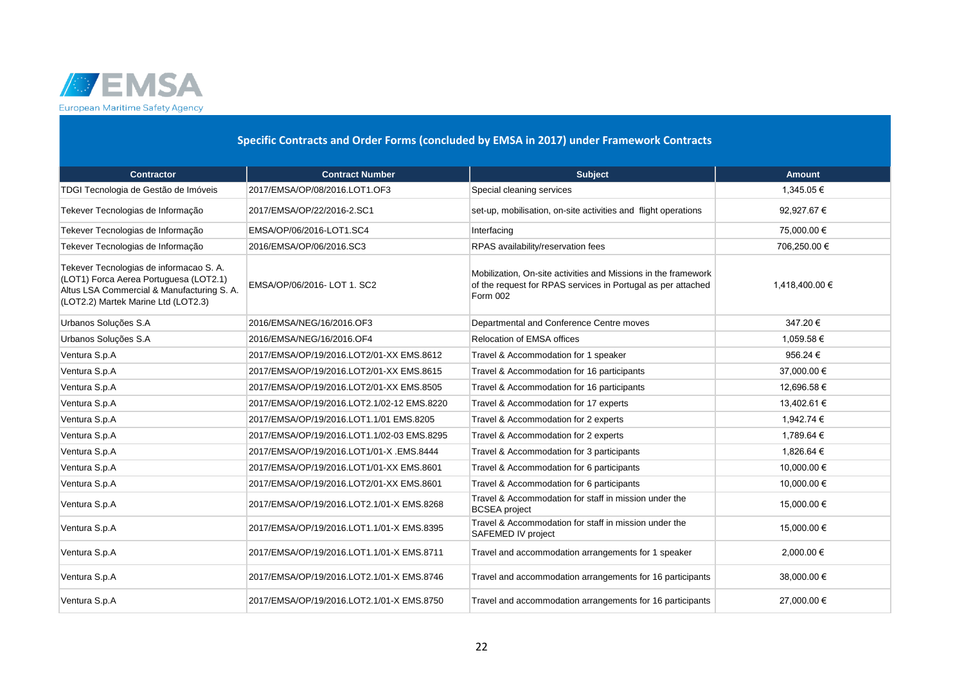

| <b>Contractor</b>                                                                                                                                                      | <b>Contract Number</b>                     | <b>Subject</b>                                                                                                                             | <b>Amount</b>  |
|------------------------------------------------------------------------------------------------------------------------------------------------------------------------|--------------------------------------------|--------------------------------------------------------------------------------------------------------------------------------------------|----------------|
| TDGI Tecnologia de Gestão de Imóveis                                                                                                                                   | 2017/EMSA/OP/08/2016.LOT1.OF3              | Special cleaning services                                                                                                                  | 1,345.05 €     |
| Tekever Tecnologias de Informação                                                                                                                                      | 2017/EMSA/OP/22/2016-2.SC1                 | set-up, mobilisation, on-site activities and flight operations                                                                             | 92.927.67 €    |
| Tekever Tecnologias de Informação                                                                                                                                      | EMSA/OP/06/2016-LOT1.SC4                   | Interfacing                                                                                                                                | 75,000.00 €    |
| Tekever Tecnologias de Informação                                                                                                                                      | 2016/EMSA/OP/06/2016.SC3                   | RPAS availability/reservation fees                                                                                                         | 706,250.00 €   |
| Tekever Tecnologias de informacao S. A.<br>(LOT1) Forca Aerea Portuguesa (LOT2.1)<br>Altus LSA Commercial & Manufacturing S. A.<br>(LOT2.2) Martek Marine Ltd (LOT2.3) | EMSA/OP/06/2016- LOT 1, SC2                | Mobilization. On-site activities and Missions in the framework<br>of the request for RPAS services in Portugal as per attached<br>Form 002 | 1,418,400.00 € |
| Urbanos Soluções S.A                                                                                                                                                   | 2016/EMSA/NEG/16/2016.OF3                  | Departmental and Conference Centre moves                                                                                                   | 347.20€        |
| Urbanos Soluções S.A                                                                                                                                                   | 2016/EMSA/NEG/16/2016.OF4                  | <b>Relocation of EMSA offices</b>                                                                                                          | 1.059.58€      |
| Ventura S.p.A                                                                                                                                                          | 2017/EMSA/OP/19/2016.LOT2/01-XX EMS.8612   | Travel & Accommodation for 1 speaker                                                                                                       | 956.24 €       |
| Ventura S.p.A                                                                                                                                                          | 2017/EMSA/OP/19/2016.LOT2/01-XX EMS.8615   | Travel & Accommodation for 16 participants                                                                                                 | 37,000.00 €    |
| Ventura S.p.A                                                                                                                                                          | 2017/EMSA/OP/19/2016.LOT2/01-XX EMS.8505   | Travel & Accommodation for 16 participants                                                                                                 | 12,696.58 €    |
| Ventura S.p.A                                                                                                                                                          | 2017/EMSA/OP/19/2016.LOT2.1/02-12 EMS.8220 | Travel & Accommodation for 17 experts                                                                                                      | 13,402.61 €    |
| Ventura S.p.A                                                                                                                                                          | 2017/EMSA/OP/19/2016.LOT1.1/01 EMS.8205    | Travel & Accommodation for 2 experts                                                                                                       | 1,942.74 €     |
| Ventura S.p.A                                                                                                                                                          | 2017/EMSA/OP/19/2016.LOT1.1/02-03 EMS.8295 | Travel & Accommodation for 2 experts                                                                                                       | 1,789.64 €     |
| Ventura S.p.A                                                                                                                                                          | 2017/EMSA/OP/19/2016.LOT1/01-X.EMS.8444    | Travel & Accommodation for 3 participants                                                                                                  | 1,826.64 €     |
| Ventura S.p.A                                                                                                                                                          | 2017/EMSA/OP/19/2016.LOT1/01-XX EMS.8601   | Travel & Accommodation for 6 participants                                                                                                  | 10,000.00 €    |
| Ventura S.p.A                                                                                                                                                          | 2017/EMSA/OP/19/2016.LOT2/01-XX EMS.8601   | Travel & Accommodation for 6 participants                                                                                                  | 10.000.00 €    |
| Ventura S.p.A                                                                                                                                                          | 2017/EMSA/OP/19/2016.LOT2.1/01-X EMS.8268  | Travel & Accommodation for staff in mission under the<br><b>BCSEA</b> project                                                              | 15,000.00 €    |
| Ventura S.p.A                                                                                                                                                          | 2017/EMSA/OP/19/2016.LOT1.1/01-X EMS.8395  | Travel & Accommodation for staff in mission under the<br>SAFEMED IV project                                                                | 15,000.00 €    |
| Ventura S.p.A                                                                                                                                                          | 2017/EMSA/OP/19/2016.LOT1.1/01-X EMS.8711  | Travel and accommodation arrangements for 1 speaker                                                                                        | 2,000.00 €     |
| Ventura S.p.A                                                                                                                                                          | 2017/EMSA/OP/19/2016.LOT2.1/01-X EMS.8746  | Travel and accommodation arrangements for 16 participants                                                                                  | 38,000.00 €    |
| Ventura S.p.A                                                                                                                                                          | 2017/EMSA/OP/19/2016.LOT2.1/01-X EMS.8750  | Travel and accommodation arrangements for 16 participants                                                                                  | 27.000.00 €    |